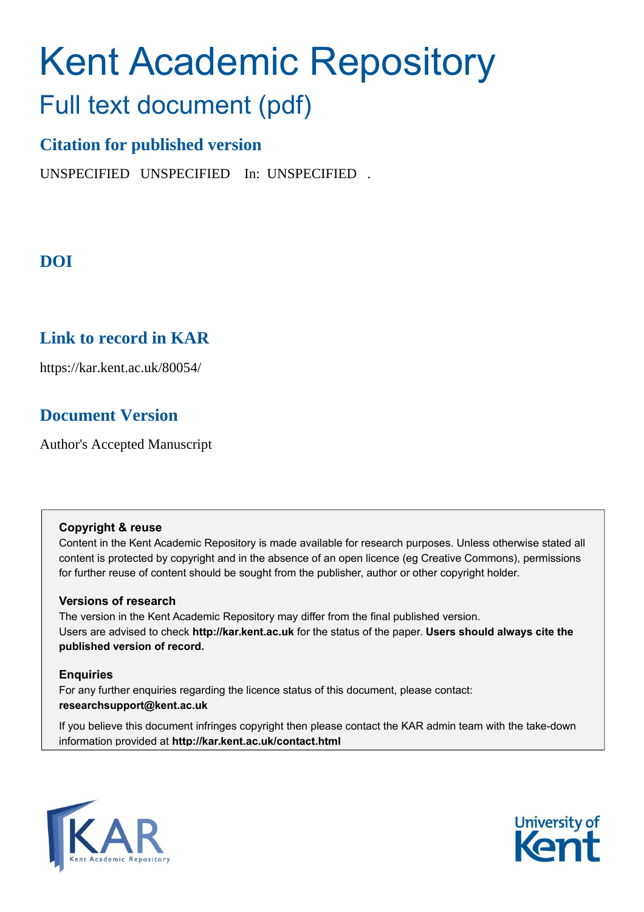# Kent Academic Repository Full text document (pdf)

# **Citation for published version**

UNSPECIFIED UNSPECIFIED In: UNSPECIFIED .

# **DOI**

## **Link to record in KAR**

https://kar.kent.ac.uk/80054/

## **Document Version**

Author's Accepted Manuscript

## **Copyright & reuse**

Content in the Kent Academic Repository is made available for research purposes. Unless otherwise stated all content is protected by copyright and in the absence of an open licence (eg Creative Commons), permissions for further reuse of content should be sought from the publisher, author or other copyright holder.

## **Versions of research**

The version in the Kent Academic Repository may differ from the final published version. Users are advised to check **http://kar.kent.ac.uk** for the status of the paper. **Users should always cite the published version of record.**

## **Enquiries**

For any further enquiries regarding the licence status of this document, please contact: **researchsupport@kent.ac.uk**

If you believe this document infringes copyright then please contact the KAR admin team with the take-down information provided at **http://kar.kent.ac.uk/contact.html**



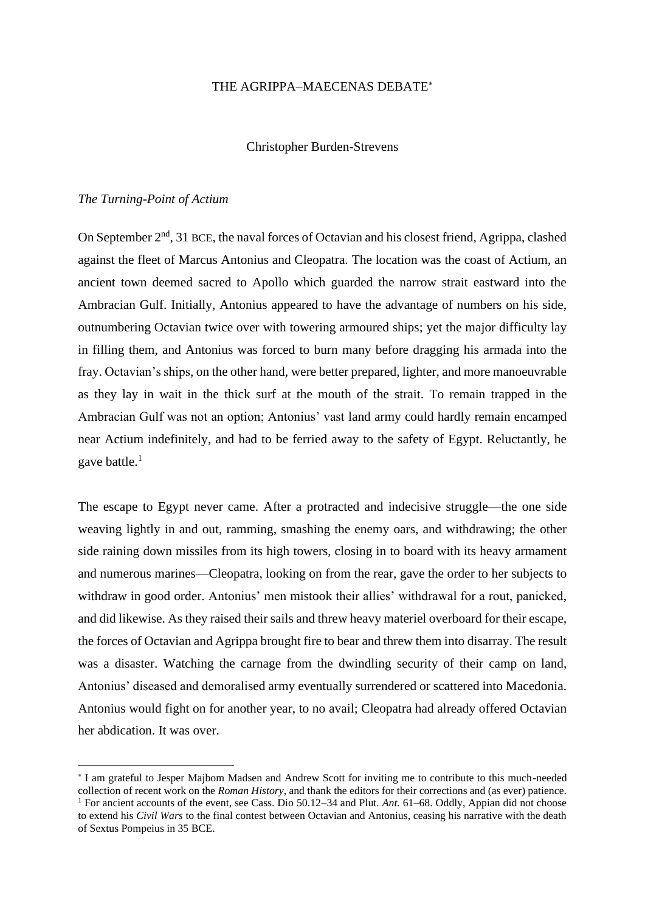#### THE AGRIPPA–MAECENAS DEBATE

#### Christopher Burden-Strevens

#### *The Turning-Point of Actium*

On September  $2<sup>nd</sup>$ , 31 BCE, the naval forces of Octavian and his closest friend, Agrippa, clashed against the fleet of Marcus Antonius and Cleopatra. The location was the coast of Actium, an ancient town deemed sacred to Apollo which guarded the narrow strait eastward into the Ambracian Gulf. Initially, Antonius appeared to have the advantage of numbers on his side, outnumbering Octavian twice over with towering armoured ships; yet the major difficulty lay in filling them, and Antonius was forced to burn many before dragging his armada into the fray. Octavian's ships, on the other hand, were better prepared, lighter, and more manoeuvrable as they lay in wait in the thick surf at the mouth of the strait. To remain trapped in the Ambracian Gulf was not an option; Antonius' vast land army could hardly remain encamped near Actium indefinitely, and had to be ferried away to the safety of Egypt. Reluctantly, he gave battle. $<sup>1</sup>$ </sup>

The escape to Egypt never came. After a protracted and indecisive struggle—the one side weaving lightly in and out, ramming, smashing the enemy oars, and withdrawing; the other side raining down missiles from its high towers, closing in to board with its heavy armament and numerous marines—Cleopatra, looking on from the rear, gave the order to her subjects to withdraw in good order. Antonius' men mistook their allies' withdrawal for a rout, panicked, and did likewise. As they raised their sails and threw heavy materiel overboard for their escape, the forces of Octavian and Agrippa brought fire to bear and threw them into disarray. The result was a disaster. Watching the carnage from the dwindling security of their camp on land, Antonius' diseased and demoralised army eventually surrendered or scattered into Macedonia. Antonius would fight on for another year, to no avail; Cleopatra had already offered Octavian her abdication. It was over.

I am grateful to Jesper Majbom Madsen and Andrew Scott for inviting me to contribute to this much-needed collection of recent work on the *Roman History*, and thank the editors for their corrections and (as ever) patience. <sup>1</sup> For ancient accounts of the event, see Cass. Dio 50.12–34 and Plut. *Ant.* 61–68. Oddly, Appian did not choose to extend his *Civil Wars* to the final contest between Octavian and Antonius, ceasing his narrative with the death of Sextus Pompeius in 35 BCE.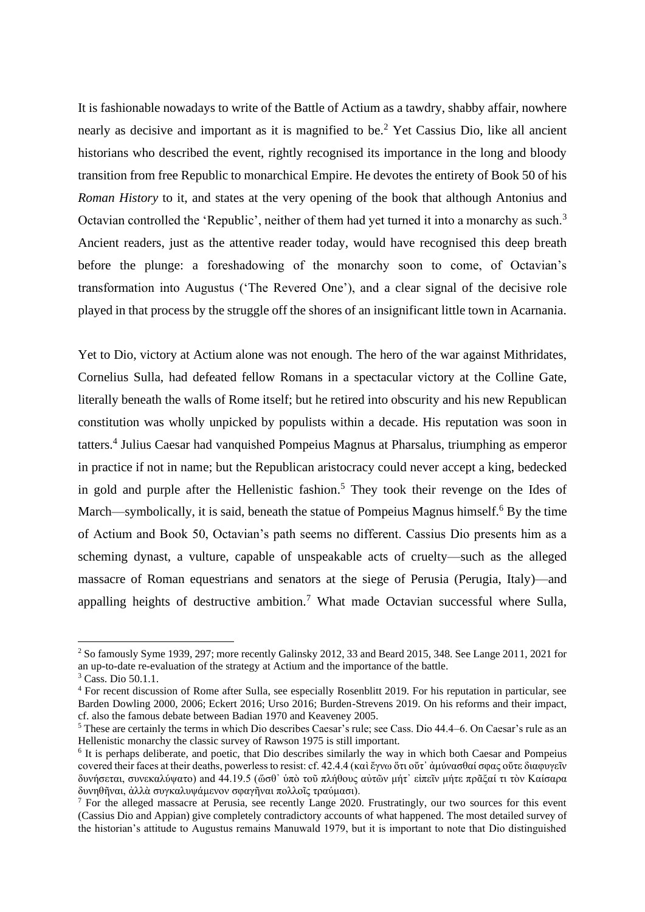It is fashionable nowadays to write of the Battle of Actium as a tawdry, shabby affair, nowhere nearly as decisive and important as it is magnified to be.<sup>2</sup> Yet Cassius Dio, like all ancient historians who described the event, rightly recognised its importance in the long and bloody transition from free Republic to monarchical Empire. He devotes the entirety of Book 50 of his *Roman History* to it, and states at the very opening of the book that although Antonius and Octavian controlled the 'Republic', neither of them had yet turned it into a monarchy as such.<sup>3</sup> Ancient readers, just as the attentive reader today, would have recognised this deep breath before the plunge: a foreshadowing of the monarchy soon to come, of Octavian's transformation into Augustus ('The Revered One'), and a clear signal of the decisive role played in that process by the struggle off the shores of an insignificant little town in Acarnania.

Yet to Dio, victory at Actium alone was not enough. The hero of the war against Mithridates, Cornelius Sulla, had defeated fellow Romans in a spectacular victory at the Colline Gate, literally beneath the walls of Rome itself; but he retired into obscurity and his new Republican constitution was wholly unpicked by populists within a decade. His reputation was soon in tatters. 4 Julius Caesar had vanquished Pompeius Magnus at Pharsalus, triumphing as emperor in practice if not in name; but the Republican aristocracy could never accept a king, bedecked in gold and purple after the Hellenistic fashion. <sup>5</sup> They took their revenge on the Ides of March—symbolically, it is said, beneath the statue of Pompeius Magnus himself.<sup>6</sup> By the time of Actium and Book 50, Octavian's path seems no different. Cassius Dio presents him as a scheming dynast, a vulture, capable of unspeakable acts of cruelty—such as the alleged massacre of Roman equestrians and senators at the siege of Perusia (Perugia, Italy)—and appalling heights of destructive ambition.<sup>7</sup> What made Octavian successful where Sulla,

<sup>2</sup> So famously Syme 1939, 297; more recently Galinsky 2012, 33 and Beard 2015, 348. See Lange 2011, 2021 for an up-to-date re-evaluation of the strategy at Actium and the importance of the battle.

<sup>&</sup>lt;sup>3</sup> Cass. Dio 50.1.1.

<sup>4</sup> For recent discussion of Rome after Sulla, see especially Rosenblitt 2019. For his reputation in particular, see Barden Dowling 2000, 2006; Eckert 2016; Urso 2016; Burden-Strevens 2019. On his reforms and their impact, cf. also the famous debate between Badian 1970 and Keaveney 2005.

<sup>&</sup>lt;sup>5</sup> These are certainly the terms in which Dio describes Caesar's rule; see Cass. Dio 44.4–6. On Caesar's rule as an Hellenistic monarchy the classic survey of Rawson 1975 is still important.

<sup>&</sup>lt;sup>6</sup> It is perhaps deliberate, and poetic, that Dio describes similarly the way in which both Caesar and Pompeius covered their faces at their deaths, powerless to resist: cf. 42.4.4 (καὶ ἔγνω ὅτι οὔτ᾽ ἀμύνασθαί σφας οὔτε διαφυγεῖν δυνήσεται, συνεκαλύψατο) and 44.19.5 (ὥσθ᾽ ὑπὸ τοῦ πλήθους αὐτῶν μήτ᾽ εἰπεῖν μήτε πρᾶξαί τι τὸν Καίσαρα δυνηθῆναι, ἀλλὰ συγκαλυψάμενον σφαγῆναι πολλοῖς τραύμασι).

<sup>7</sup> For the alleged massacre at Perusia, see recently Lange 2020. Frustratingly, our two sources for this event (Cassius Dio and Appian) give completely contradictory accounts of what happened. The most detailed survey of the historian's attitude to Augustus remains Manuwald 1979, but it is important to note that Dio distinguished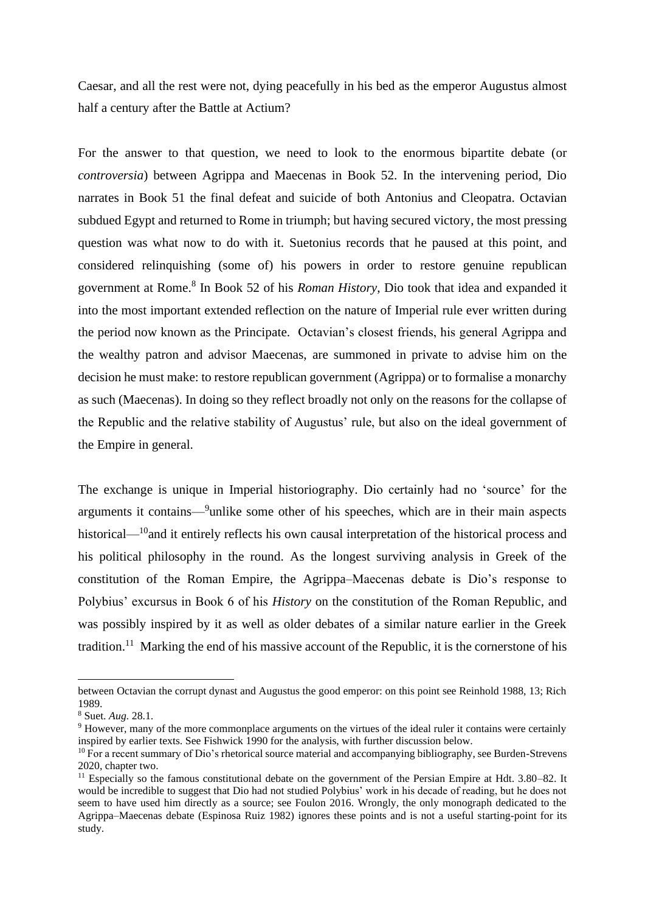Caesar, and all the rest were not, dying peacefully in his bed as the emperor Augustus almost half a century after the Battle at Actium?

For the answer to that question, we need to look to the enormous bipartite debate (or *controversia*) between Agrippa and Maecenas in Book 52. In the intervening period, Dio narrates in Book 51 the final defeat and suicide of both Antonius and Cleopatra. Octavian subdued Egypt and returned to Rome in triumph; but having secured victory, the most pressing question was what now to do with it. Suetonius records that he paused at this point, and considered relinquishing (some of) his powers in order to restore genuine republican government at Rome.<sup>8</sup> In Book 52 of his *Roman History*, Dio took that idea and expanded it into the most important extended reflection on the nature of Imperial rule ever written during the period now known as the Principate. Octavian's closest friends, his general Agrippa and the wealthy patron and advisor Maecenas, are summoned in private to advise him on the decision he must make: to restore republican government (Agrippa) or to formalise a monarchy as such (Maecenas). In doing so they reflect broadly not only on the reasons for the collapse of the Republic and the relative stability of Augustus' rule, but also on the ideal government of the Empire in general.

The exchange is unique in Imperial historiography. Dio certainly had no 'source' for the arguments it contains—<sup>9</sup>unlike some other of his speeches, which are in their main aspects historical—<sup>10</sup>and it entirely reflects his own causal interpretation of the historical process and his political philosophy in the round. As the longest surviving analysis in Greek of the constitution of the Roman Empire, the Agrippa–Maecenas debate is Dio's response to Polybius' excursus in Book 6 of his *History* on the constitution of the Roman Republic, and was possibly inspired by it as well as older debates of a similar nature earlier in the Greek tradition.<sup>11</sup> Marking the end of his massive account of the Republic, it is the cornerstone of his

between Octavian the corrupt dynast and Augustus the good emperor: on this point see Reinhold 1988, 13; Rich 1989.

<sup>8</sup> Suet. *Aug.* 28.1.

<sup>&</sup>lt;sup>9</sup> However, many of the more commonplace arguments on the virtues of the ideal ruler it contains were certainly inspired by earlier texts. See Fishwick 1990 for the analysis, with further discussion below.

<sup>&</sup>lt;sup>10</sup> For a recent summary of Dio's rhetorical source material and accompanying bibliography, see Burden-Strevens 2020, chapter two.

<sup>&</sup>lt;sup>11</sup> Especially so the famous constitutional debate on the government of the Persian Empire at Hdt. 3.80–82. It would be incredible to suggest that Dio had not studied Polybius' work in his decade of reading, but he does not seem to have used him directly as a source; see Foulon 2016. Wrongly, the only monograph dedicated to the Agrippa–Maecenas debate (Espinosa Ruiz 1982) ignores these points and is not a useful starting-point for its study.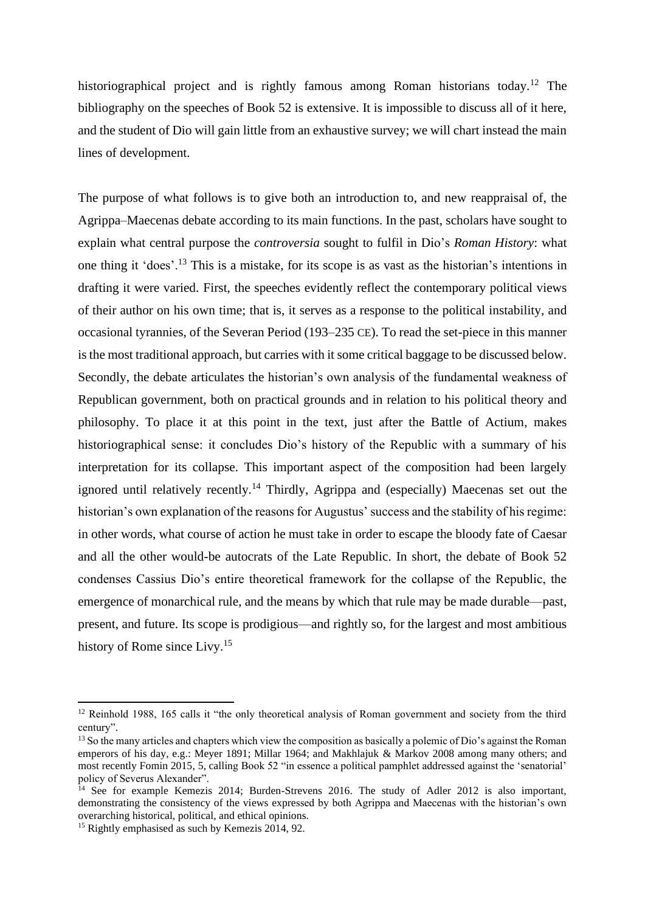historiographical project and is rightly famous among Roman historians today.<sup>12</sup> The bibliography on the speeches of Book 52 is extensive. It is impossible to discuss all of it here, and the student of Dio will gain little from an exhaustive survey; we will chart instead the main lines of development.

The purpose of what follows is to give both an introduction to, and new reappraisal of, the Agrippa–Maecenas debate according to its main functions. In the past, scholars have sought to explain what central purpose the *controversia* sought to fulfil in Dio's *Roman History*: what one thing it 'does'.<sup>13</sup> This is a mistake, for its scope is as vast as the historian's intentions in drafting it were varied. First, the speeches evidently reflect the contemporary political views of their author on his own time; that is, it serves as a response to the political instability, and occasional tyrannies, of the Severan Period (193–235 CE). To read the set-piece in this manner is the most traditional approach, but carries with it some critical baggage to be discussed below. Secondly, the debate articulates the historian's own analysis of the fundamental weakness of Republican government, both on practical grounds and in relation to his political theory and philosophy. To place it at this point in the text, just after the Battle of Actium, makes historiographical sense: it concludes Dio's history of the Republic with a summary of his interpretation for its collapse. This important aspect of the composition had been largely ignored until relatively recently.<sup>14</sup> Thirdly, Agrippa and (especially) Maecenas set out the historian's own explanation of the reasons for Augustus' success and the stability of his regime: in other words, what course of action he must take in order to escape the bloody fate of Caesar and all the other would-be autocrats of the Late Republic. In short, the debate of Book 52 condenses Cassius Dio's entire theoretical framework for the collapse of the Republic, the emergence of monarchical rule, and the means by which that rule may be made durable—past, present, and future. Its scope is prodigious—and rightly so, for the largest and most ambitious history of Rome since Livy.<sup>15</sup>

<sup>&</sup>lt;sup>12</sup> Reinhold 1988, 165 calls it "the only theoretical analysis of Roman government and society from the third century".

<sup>&</sup>lt;sup>13</sup> So the many articles and chapters which view the composition as basically a polemic of Dio's against the Roman emperors of his day, e.g.: Meyer 1891; Millar 1964; and Makhlajuk & Markov 2008 among many others; and most recently Fomin 2015, 5, calling Book 52 "in essence a political pamphlet addressed against the 'senatorial' policy of Severus Alexander".

<sup>&</sup>lt;sup>14</sup> See for example Kemezis 2014; Burden-Strevens 2016. The study of Adler 2012 is also important, demonstrating the consistency of the views expressed by both Agrippa and Maecenas with the historian's own overarching historical, political, and ethical opinions.

<sup>&</sup>lt;sup>15</sup> Rightly emphasised as such by Kemezis 2014, 92.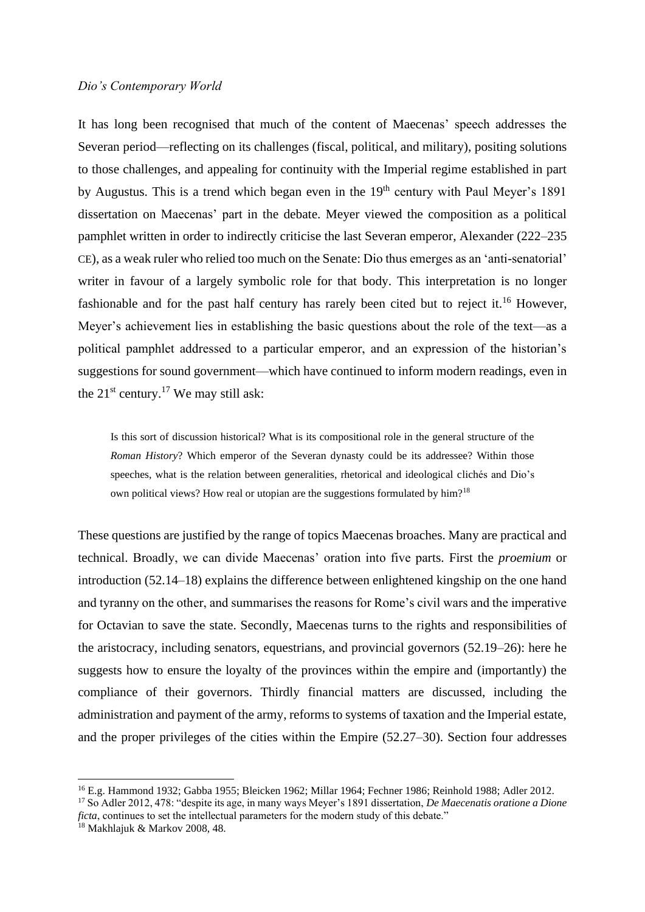#### *Dio's Contemporary World*

It has long been recognised that much of the content of Maecenas' speech addresses the Severan period—reflecting on its challenges (fiscal, political, and military), positing solutions to those challenges, and appealing for continuity with the Imperial regime established in part by Augustus. This is a trend which began even in the 19<sup>th</sup> century with Paul Meyer's 1891 dissertation on Maecenas' part in the debate. Meyer viewed the composition as a political pamphlet written in order to indirectly criticise the last Severan emperor, Alexander (222–235 CE), as a weak ruler who relied too much on the Senate: Dio thus emerges as an 'anti-senatorial' writer in favour of a largely symbolic role for that body. This interpretation is no longer fashionable and for the past half century has rarely been cited but to reject it.<sup>16</sup> However, Meyer's achievement lies in establishing the basic questions about the role of the text—as a political pamphlet addressed to a particular emperor, and an expression of the historian's suggestions for sound government—which have continued to inform modern readings, even in the  $21^{st}$  century.<sup>17</sup> We may still ask:

Is this sort of discussion historical? What is its compositional role in the general structure of the *Roman History*? Which emperor of the Severan dynasty could be its addressee? Within those speeches, what is the relation between generalities, rhetorical and ideological clichés and Dio's own political views? How real or utopian are the suggestions formulated by him?<sup>18</sup>

These questions are justified by the range of topics Maecenas broaches. Many are practical and technical. Broadly, we can divide Maecenas' oration into five parts. First the *proemium* or introduction (52.14–18) explains the difference between enlightened kingship on the one hand and tyranny on the other, and summarises the reasons for Rome's civil wars and the imperative for Octavian to save the state. Secondly, Maecenas turns to the rights and responsibilities of the aristocracy, including senators, equestrians, and provincial governors (52.19–26): here he suggests how to ensure the loyalty of the provinces within the empire and (importantly) the compliance of their governors. Thirdly financial matters are discussed, including the administration and payment of the army, reforms to systems of taxation and the Imperial estate, and the proper privileges of the cities within the Empire (52.27–30). Section four addresses

<sup>16</sup> E.g. Hammond 1932; Gabba 1955; Bleicken 1962; Millar 1964; Fechner 1986; Reinhold 1988; Adler 2012.

<sup>17</sup> So Adler 2012, 478: "despite its age, in many ways Meyer's 1891 dissertation, *De Maecenatis oratione a Dione ficta*, continues to set the intellectual parameters for the modern study of this debate."

 $^{18}$  Makhlajuk & Markov 2008, 48.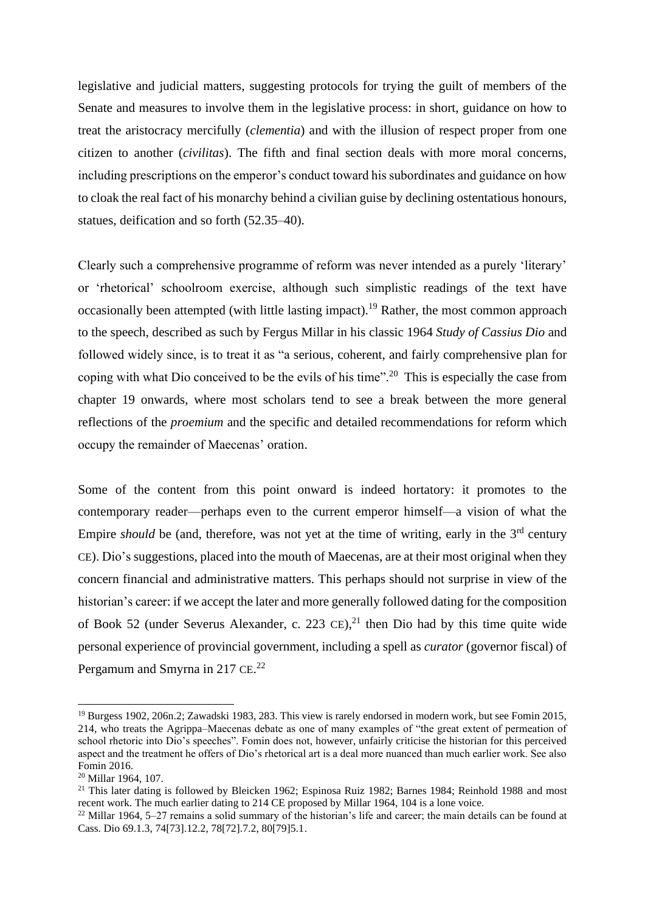legislative and judicial matters, suggesting protocols for trying the guilt of members of the Senate and measures to involve them in the legislative process: in short, guidance on how to treat the aristocracy mercifully (*clementia*) and with the illusion of respect proper from one citizen to another (*civilitas*). The fifth and final section deals with more moral concerns, including prescriptions on the emperor's conduct toward his subordinates and guidance on how to cloak the real fact of his monarchy behind a civilian guise by declining ostentatious honours, statues, deification and so forth (52.35–40).

Clearly such a comprehensive programme of reform was never intended as a purely 'literary' or 'rhetorical' schoolroom exercise, although such simplistic readings of the text have occasionally been attempted (with little lasting impact).<sup>19</sup> Rather, the most common approach to the speech, described as such by Fergus Millar in his classic 1964 *Study of Cassius Dio* and followed widely since, is to treat it as "a serious, coherent, and fairly comprehensive plan for coping with what Dio conceived to be the evils of his time".<sup>20</sup> This is especially the case from chapter 19 onwards, where most scholars tend to see a break between the more general reflections of the *proemium* and the specific and detailed recommendations for reform which occupy the remainder of Maecenas' oration.

Some of the content from this point onward is indeed hortatory: it promotes to the contemporary reader—perhaps even to the current emperor himself—a vision of what the Empire *should* be (and, therefore, was not yet at the time of writing, early in the 3<sup>rd</sup> century CE). Dio's suggestions, placed into the mouth of Maecenas, are at their most original when they concern financial and administrative matters. This perhaps should not surprise in view of the historian's career: if we accept the later and more generally followed dating for the composition of Book 52 (under Severus Alexander, c. 223 CE), <sup>21</sup> then Dio had by this time quite wide personal experience of provincial government, including a spell as *curator* (governor fiscal) of Pergamum and Smyrna in 217 CE.<sup>22</sup>

<sup>19</sup> Burgess 1902, 206n.2; Zawadski 1983, 283. This view is rarely endorsed in modern work, but see Fomin 2015, 214, who treats the Agrippa–Maecenas debate as one of many examples of "the great extent of permeation of school rhetoric into Dio's speeches". Fomin does not, however, unfairly criticise the historian for this perceived aspect and the treatment he offers of Dio's rhetorical art is a deal more nuanced than much earlier work. See also Fomin 2016.

<sup>20</sup> Millar 1964, 107.

<sup>&</sup>lt;sup>21</sup> This later dating is followed by Bleicken 1962; Espinosa Ruiz 1982; Barnes 1984; Reinhold 1988 and most recent work. The much earlier dating to 214 CE proposed by Millar 1964, 104 is a lone voice.

<sup>&</sup>lt;sup>22</sup> Millar 1964, 5–27 remains a solid summary of the historian's life and career; the main details can be found at Cass. Dio 69.1.3, 74[73].12.2, 78[72].7.2, 80[79]5.1.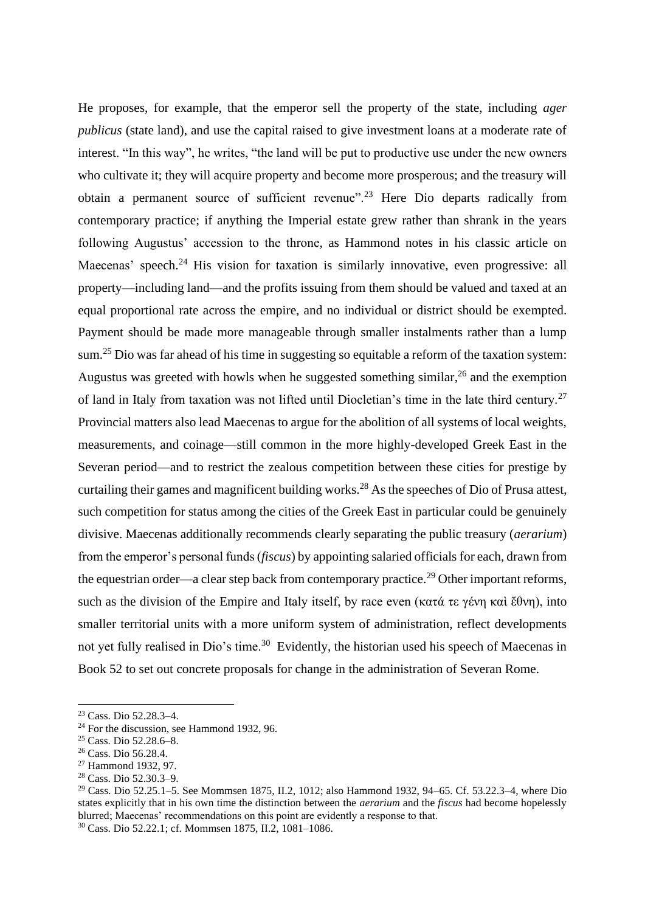He proposes, for example, that the emperor sell the property of the state, including *ager publicus* (state land), and use the capital raised to give investment loans at a moderate rate of interest. "In this way", he writes, "the land will be put to productive use under the new owners who cultivate it; they will acquire property and become more prosperous; and the treasury will obtain a permanent source of sufficient revenue".<sup>23</sup> Here Dio departs radically from contemporary practice; if anything the Imperial estate grew rather than shrank in the years following Augustus' accession to the throne, as Hammond notes in his classic article on Maecenas' speech.<sup>24</sup> His vision for taxation is similarly innovative, even progressive: all property—including land—and the profits issuing from them should be valued and taxed at an equal proportional rate across the empire, and no individual or district should be exempted. Payment should be made more manageable through smaller instalments rather than a lump sum.<sup>25</sup> Dio was far ahead of his time in suggesting so equitable a reform of the taxation system: Augustus was greeted with howls when he suggested something similar,<sup>26</sup> and the exemption of land in Italy from taxation was not lifted until Diocletian's time in the late third century.<sup>27</sup> Provincial matters also lead Maecenas to argue for the abolition of all systems of local weights, measurements, and coinage—still common in the more highly-developed Greek East in the Severan period—and to restrict the zealous competition between these cities for prestige by curtailing their games and magnificent building works.<sup>28</sup> As the speeches of Dio of Prusa attest, such competition for status among the cities of the Greek East in particular could be genuinely divisive. Maecenas additionally recommends clearly separating the public treasury (*aerarium*) from the emperor's personal funds (*fiscus*) by appointing salaried officials for each, drawn from the equestrian order—a clear step back from contemporary practice.<sup>29</sup> Other important reforms, such as the division of the Empire and Italy itself, by race even (κατά τε γένη καὶ ἔθνη), into smaller territorial units with a more uniform system of administration, reflect developments not yet fully realised in Dio's time.<sup>30</sup> Evidently, the historian used his speech of Maecenas in Book 52 to set out concrete proposals for change in the administration of Severan Rome.

<sup>23</sup> Cass. Dio 52.28.3–4.

<sup>&</sup>lt;sup>24</sup> For the discussion, see Hammond 1932, 96.

<sup>25</sup> Cass. Dio 52.28.6–8.

<sup>26</sup> Cass. Dio 56.28.4.

<sup>27</sup> Hammond 1932, 97.

<sup>28</sup> Cass. Dio 52.30.3–9.

<sup>29</sup> Cass. Dio 52.25.1–5. See Mommsen 1875, II.2, 1012; also Hammond 1932, 94–65. Cf. 53.22.3–4, where Dio states explicitly that in his own time the distinction between the *aerarium* and the *fiscus* had become hopelessly blurred; Maecenas' recommendations on this point are evidently a response to that. <sup>30</sup> Cass. Dio 52.22.1; cf. Mommsen 1875, II.2, 1081–1086.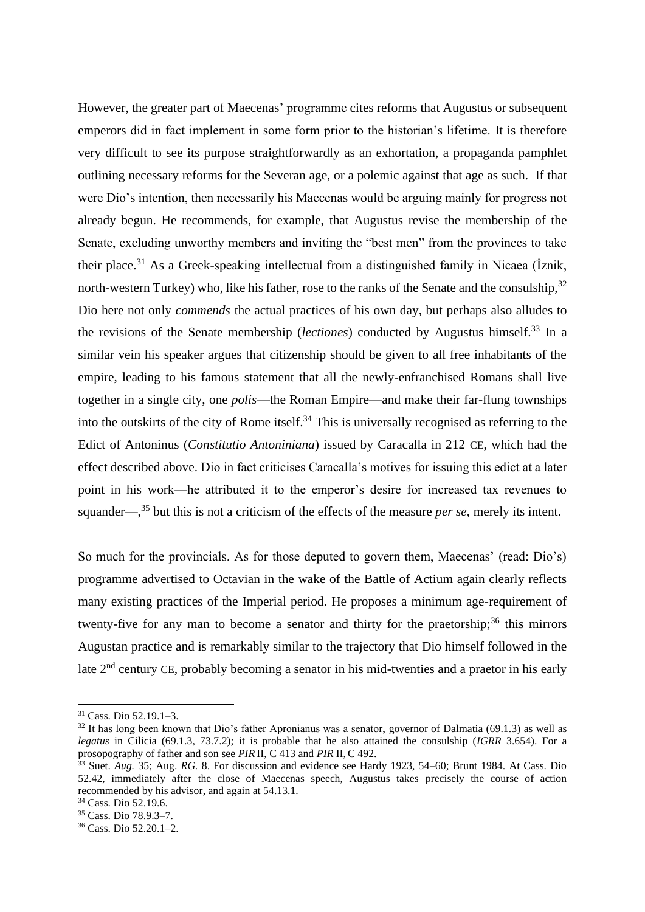However, the greater part of Maecenas' programme cites reforms that Augustus or subsequent emperors did in fact implement in some form prior to the historian's lifetime. It is therefore very difficult to see its purpose straightforwardly as an exhortation, a propaganda pamphlet outlining necessary reforms for the Severan age, or a polemic against that age as such. If that were Dio's intention, then necessarily his Maecenas would be arguing mainly for progress not already begun. He recommends, for example, that Augustus revise the membership of the Senate, excluding unworthy members and inviting the "best men" from the provinces to take their place.<sup>31</sup> As a Greek-speaking intellectual from a distinguished family in Nicaea (İznik, north-western Turkey) who, like his father, rose to the ranks of the Senate and the consulship,  $32$ Dio here not only *commends* the actual practices of his own day, but perhaps also alludes to the revisions of the Senate membership (*lectiones*) conducted by Augustus himself.<sup>33</sup> In a similar vein his speaker argues that citizenship should be given to all free inhabitants of the empire, leading to his famous statement that all the newly-enfranchised Romans shall live together in a single city, one *polis*—the Roman Empire—and make their far-flung townships into the outskirts of the city of Rome itself.<sup>34</sup> This is universally recognised as referring to the Edict of Antoninus (*Constitutio Antoniniana*) issued by Caracalla in 212 CE, which had the effect described above. Dio in fact criticises Caracalla's motives for issuing this edict at a later point in his work—he attributed it to the emperor's desire for increased tax revenues to squander—, <sup>35</sup> but this is not a criticism of the effects of the measure *per se*, merely its intent.

So much for the provincials. As for those deputed to govern them, Maecenas' (read: Dio's) programme advertised to Octavian in the wake of the Battle of Actium again clearly reflects many existing practices of the Imperial period. He proposes a minimum age-requirement of twenty-five for any man to become a senator and thirty for the praetorship;  $36$  this mirrors Augustan practice and is remarkably similar to the trajectory that Dio himself followed in the late 2nd century CE, probably becoming a senator in his mid-twenties and a praetor in his early

<sup>31</sup> Cass. Dio 52.19.1–3.

<sup>&</sup>lt;sup>32</sup> It has long been known that Dio's father Apronianus was a senator, governor of Dalmatia (69.1.3) as well as *legatus* in Cilicia (69.1.3, 73.7.2); it is probable that he also attained the consulship (*IGRR* 3.654). For a prosopography of father and son see *PIR* II, C 413 and *PIR* II, C 492.

<sup>33</sup> Suet. *Aug.* 35; Aug. *RG.* 8. For discussion and evidence see Hardy 1923, 54–60; Brunt 1984. At Cass. Dio 52.42, immediately after the close of Maecenas speech, Augustus takes precisely the course of action recommended by his advisor, and again at 54.13.1.

<sup>34</sup> Cass. Dio 52.19.6.

<sup>35</sup> Cass. Dio 78.9.3–7.

<sup>36</sup> Cass. Dio 52.20.1–2.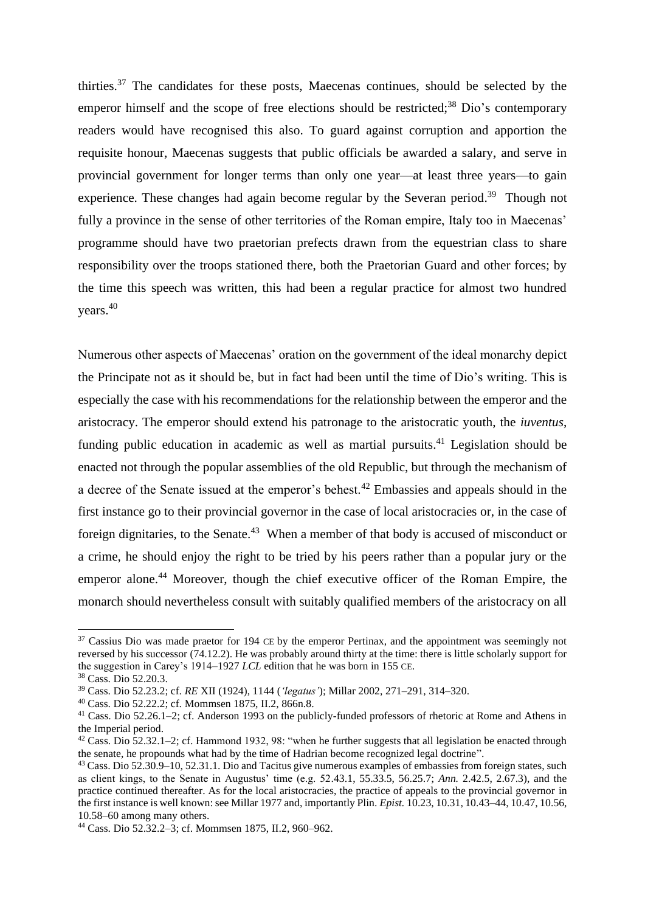thirties.<sup>37</sup> The candidates for these posts, Maecenas continues, should be selected by the emperor himself and the scope of free elections should be restricted;<sup>38</sup> Dio's contemporary readers would have recognised this also. To guard against corruption and apportion the requisite honour, Maecenas suggests that public officials be awarded a salary, and serve in provincial government for longer terms than only one year—at least three years—to gain experience. These changes had again become regular by the Severan period.<sup>39</sup> Though not fully a province in the sense of other territories of the Roman empire, Italy too in Maecenas' programme should have two praetorian prefects drawn from the equestrian class to share responsibility over the troops stationed there, both the Praetorian Guard and other forces; by the time this speech was written, this had been a regular practice for almost two hundred years.<sup>40</sup>

Numerous other aspects of Maecenas' oration on the government of the ideal monarchy depict the Principate not as it should be, but in fact had been until the time of Dio's writing. This is especially the case with his recommendations for the relationship between the emperor and the aristocracy. The emperor should extend his patronage to the aristocratic youth, the *iuventus*, funding public education in academic as well as martial pursuits.<sup>41</sup> Legislation should be enacted not through the popular assemblies of the old Republic, but through the mechanism of a decree of the Senate issued at the emperor's behest.<sup>42</sup> Embassies and appeals should in the first instance go to their provincial governor in the case of local aristocracies or, in the case of foreign dignitaries, to the Senate.<sup>43</sup> When a member of that body is accused of misconduct or a crime, he should enjoy the right to be tried by his peers rather than a popular jury or the emperor alone.<sup>44</sup> Moreover, though the chief executive officer of the Roman Empire, the monarch should nevertheless consult with suitably qualified members of the aristocracy on all

<sup>&</sup>lt;sup>37</sup> Cassius Dio was made praetor for 194 CE by the emperor Pertinax, and the appointment was seemingly not reversed by his successor (74.12.2). He was probably around thirty at the time: there is little scholarly support for the suggestion in Carey's 1914–1927 *LCL* edition that he was born in 155 CE.

<sup>38</sup> Cass. Dio 52.20.3.

<sup>39</sup> Cass. Dio 52.23.2; cf. *RE* XII (1924), 1144 (*'legatus'*); Millar 2002, 271–291, 314–320.

<sup>40</sup> Cass. Dio 52.22.2; cf. Mommsen 1875, II.2, 866n.8.

<sup>41</sup> Cass. Dio 52.26.1–2; cf. Anderson 1993 on the publicly-funded professors of rhetoric at Rome and Athens in the Imperial period.

<sup>&</sup>lt;sup>42</sup> Cass. Dio 52.32.1–2; cf. Hammond 1932, 98: "when he further suggests that all legislation be enacted through the senate, he propounds what had by the time of Hadrian become recognized legal doctrine".

<sup>43</sup> Cass. Dio 52.30.9–10, 52.31.1. Dio and Tacitus give numerous examples of embassies from foreign states, such as client kings, to the Senate in Augustus' time (e.g. 52.43.1, 55.33.5, 56.25.7; *Ann.* 2.42.5, 2.67.3), and the practice continued thereafter. As for the local aristocracies, the practice of appeals to the provincial governor in the first instance is well known: see Millar 1977 and, importantly Plin. *Epist.* 10.23, 10.31, 10.43–44, 10.47, 10.56, 10.58–60 among many others.

<sup>44</sup> Cass. Dio 52.32.2–3; cf. Mommsen 1875, II.2, 960–962.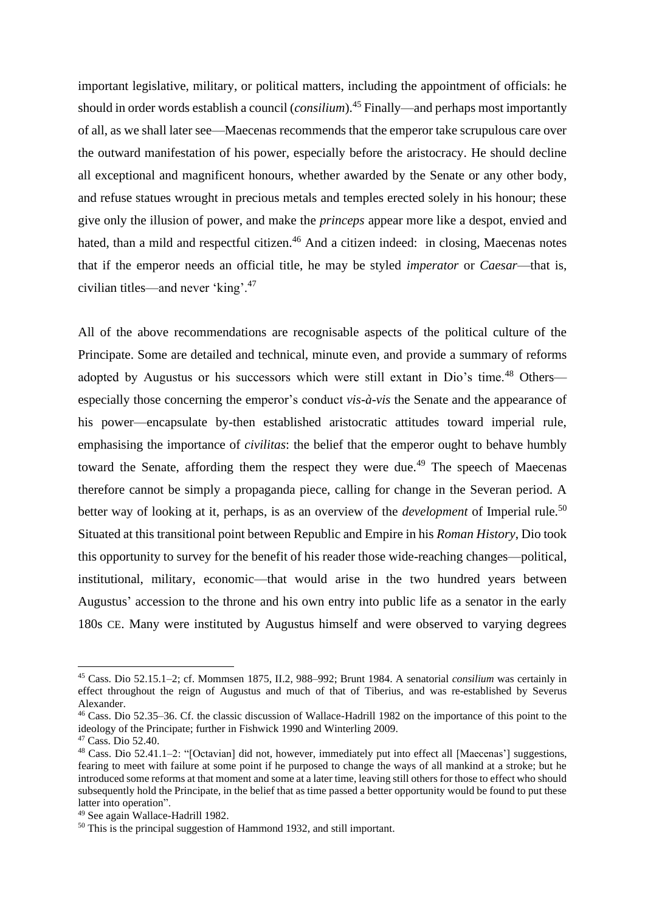important legislative, military, or political matters, including the appointment of officials: he should in order words establish a council (*consilium*). <sup>45</sup> Finally—and perhaps most importantly of all, as we shall later see—Maecenas recommends that the emperor take scrupulous care over the outward manifestation of his power, especially before the aristocracy. He should decline all exceptional and magnificent honours, whether awarded by the Senate or any other body, and refuse statues wrought in precious metals and temples erected solely in his honour; these give only the illusion of power, and make the *princeps* appear more like a despot, envied and hated, than a mild and respectful citizen.<sup>46</sup> And a citizen indeed: in closing, Maecenas notes that if the emperor needs an official title, he may be styled *imperator* or *Caesar*—that is, civilian titles—and never 'king'.<sup>47</sup>

All of the above recommendations are recognisable aspects of the political culture of the Principate. Some are detailed and technical, minute even, and provide a summary of reforms adopted by Augustus or his successors which were still extant in Dio's time.<sup>48</sup> Others especially those concerning the emperor's conduct *vis-à-vis* the Senate and the appearance of his power—encapsulate by-then established aristocratic attitudes toward imperial rule, emphasising the importance of *civilitas*: the belief that the emperor ought to behave humbly toward the Senate, affording them the respect they were due.<sup>49</sup> The speech of Maecenas therefore cannot be simply a propaganda piece, calling for change in the Severan period. A better way of looking at it, perhaps, is as an overview of the *development* of Imperial rule.<sup>50</sup> Situated at this transitional point between Republic and Empire in his *Roman History*, Dio took this opportunity to survey for the benefit of his reader those wide-reaching changes—political, institutional, military, economic—that would arise in the two hundred years between Augustus' accession to the throne and his own entry into public life as a senator in the early 180s CE. Many were instituted by Augustus himself and were observed to varying degrees

<sup>45</sup> Cass. Dio 52.15.1–2; cf. Mommsen 1875, II.2, 988–992; Brunt 1984. A senatorial *consilium* was certainly in effect throughout the reign of Augustus and much of that of Tiberius, and was re-established by Severus Alexander.

<sup>46</sup> Cass. Dio 52.35–36. Cf. the classic discussion of Wallace-Hadrill 1982 on the importance of this point to the ideology of the Principate; further in Fishwick 1990 and Winterling 2009.

<sup>47</sup> Cass. Dio 52.40.

<sup>48</sup> Cass. Dio 52.41.1–2: "[Octavian] did not, however, immediately put into effect all [Maecenas'] suggestions, fearing to meet with failure at some point if he purposed to change the ways of all mankind at a stroke; but he introduced some reforms at that moment and some at a later time, leaving still others for those to effect who should subsequently hold the Principate, in the belief that as time passed a better opportunity would be found to put these latter into operation".

<sup>49</sup> See again Wallace-Hadrill 1982.

<sup>&</sup>lt;sup>50</sup> This is the principal suggestion of Hammond 1932, and still important.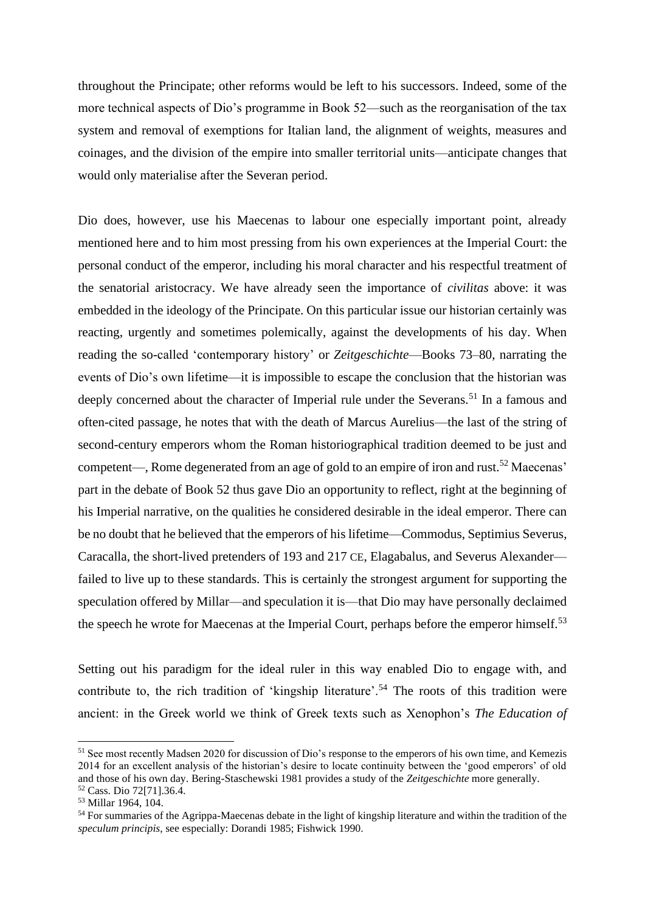throughout the Principate; other reforms would be left to his successors. Indeed, some of the more technical aspects of Dio's programme in Book 52—such as the reorganisation of the tax system and removal of exemptions for Italian land, the alignment of weights, measures and coinages, and the division of the empire into smaller territorial units—anticipate changes that would only materialise after the Severan period.

Dio does, however, use his Maecenas to labour one especially important point, already mentioned here and to him most pressing from his own experiences at the Imperial Court: the personal conduct of the emperor, including his moral character and his respectful treatment of the senatorial aristocracy. We have already seen the importance of *civilitas* above: it was embedded in the ideology of the Principate. On this particular issue our historian certainly was reacting, urgently and sometimes polemically, against the developments of his day. When reading the so-called 'contemporary history' or *Zeitgeschichte*—Books 73–80, narrating the events of Dio's own lifetime—it is impossible to escape the conclusion that the historian was deeply concerned about the character of Imperial rule under the Severans.<sup>51</sup> In a famous and often-cited passage, he notes that with the death of Marcus Aurelius—the last of the string of second-century emperors whom the Roman historiographical tradition deemed to be just and competent—, Rome degenerated from an age of gold to an empire of iron and rust.<sup>52</sup> Maecenas' part in the debate of Book 52 thus gave Dio an opportunity to reflect, right at the beginning of his Imperial narrative, on the qualities he considered desirable in the ideal emperor. There can be no doubt that he believed that the emperors of his lifetime—Commodus, Septimius Severus, Caracalla, the short-lived pretenders of 193 and 217 CE, Elagabalus, and Severus Alexander failed to live up to these standards. This is certainly the strongest argument for supporting the speculation offered by Millar—and speculation it is—that Dio may have personally declaimed the speech he wrote for Maecenas at the Imperial Court, perhaps before the emperor himself.<sup>53</sup>

Setting out his paradigm for the ideal ruler in this way enabled Dio to engage with, and contribute to, the rich tradition of 'kingship literature'.<sup>54</sup> The roots of this tradition were ancient: in the Greek world we think of Greek texts such as Xenophon's *The Education of* 

<sup>51</sup> See most recently Madsen 2020 for discussion of Dio's response to the emperors of his own time, and Kemezis 2014 for an excellent analysis of the historian's desire to locate continuity between the 'good emperors' of old and those of his own day. Bering-Staschewski 1981 provides a study of the *Zeitgeschichte* more generally. <sup>52</sup> Cass. Dio 72[71].36.4.

<sup>53</sup> Millar 1964, 104.

<sup>&</sup>lt;sup>54</sup> For summaries of the Agrippa-Maecenas debate in the light of kingship literature and within the tradition of the *speculum principis*, see especially: Dorandi 1985; Fishwick 1990.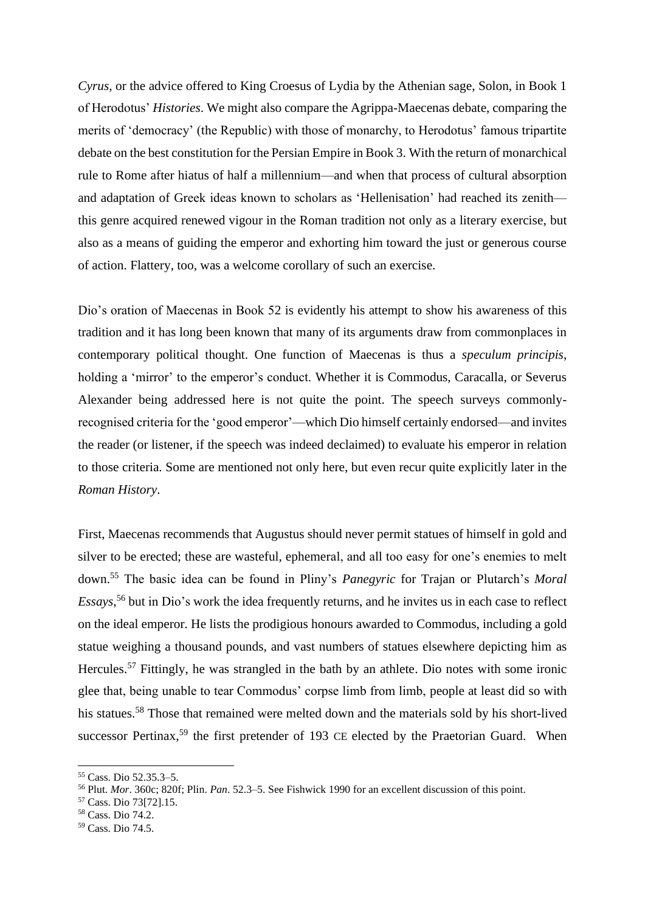*Cyrus*, or the advice offered to King Croesus of Lydia by the Athenian sage, Solon, in Book 1 of Herodotus' *Histories*. We might also compare the Agrippa-Maecenas debate, comparing the merits of 'democracy' (the Republic) with those of monarchy, to Herodotus' famous tripartite debate on the best constitution for the Persian Empire in Book 3. With the return of monarchical rule to Rome after hiatus of half a millennium—and when that process of cultural absorption and adaptation of Greek ideas known to scholars as 'Hellenisation' had reached its zenith this genre acquired renewed vigour in the Roman tradition not only as a literary exercise, but also as a means of guiding the emperor and exhorting him toward the just or generous course of action. Flattery, too, was a welcome corollary of such an exercise.

Dio's oration of Maecenas in Book 52 is evidently his attempt to show his awareness of this tradition and it has long been known that many of its arguments draw from commonplaces in contemporary political thought. One function of Maecenas is thus a *speculum principis*, holding a 'mirror' to the emperor's conduct. Whether it is Commodus, Caracalla, or Severus Alexander being addressed here is not quite the point. The speech surveys commonlyrecognised criteria for the 'good emperor'—which Dio himself certainly endorsed—and invites the reader (or listener, if the speech was indeed declaimed) to evaluate his emperor in relation to those criteria. Some are mentioned not only here, but even recur quite explicitly later in the *Roman History*.

First, Maecenas recommends that Augustus should never permit statues of himself in gold and silver to be erected; these are wasteful, ephemeral, and all too easy for one's enemies to melt down.<sup>55</sup> The basic idea can be found in Pliny's *Panegyric* for Trajan or Plutarch's *Moral Essays*, <sup>56</sup> but in Dio's work the idea frequently returns, and he invites us in each case to reflect on the ideal emperor. He lists the prodigious honours awarded to Commodus, including a gold statue weighing a thousand pounds, and vast numbers of statues elsewhere depicting him as Hercules.<sup>57</sup> Fittingly, he was strangled in the bath by an athlete. Dio notes with some ironic glee that, being unable to tear Commodus' corpse limb from limb, people at least did so with his statues.<sup>58</sup> Those that remained were melted down and the materials sold by his short-lived successor Pertinax,<sup>59</sup> the first pretender of 193 CE elected by the Praetorian Guard. When

<sup>55</sup> Cass. Dio 52.35.3–5.

<sup>56</sup> Plut. *Mor*. 360c; 820f; Plin. *Pan*. 52.3–5. See Fishwick 1990 for an excellent discussion of this point.

<sup>57</sup> Cass. Dio 73[72].15.

<sup>58</sup> Cass. Dio 74.2.

<sup>59</sup> Cass. Dio 74.5.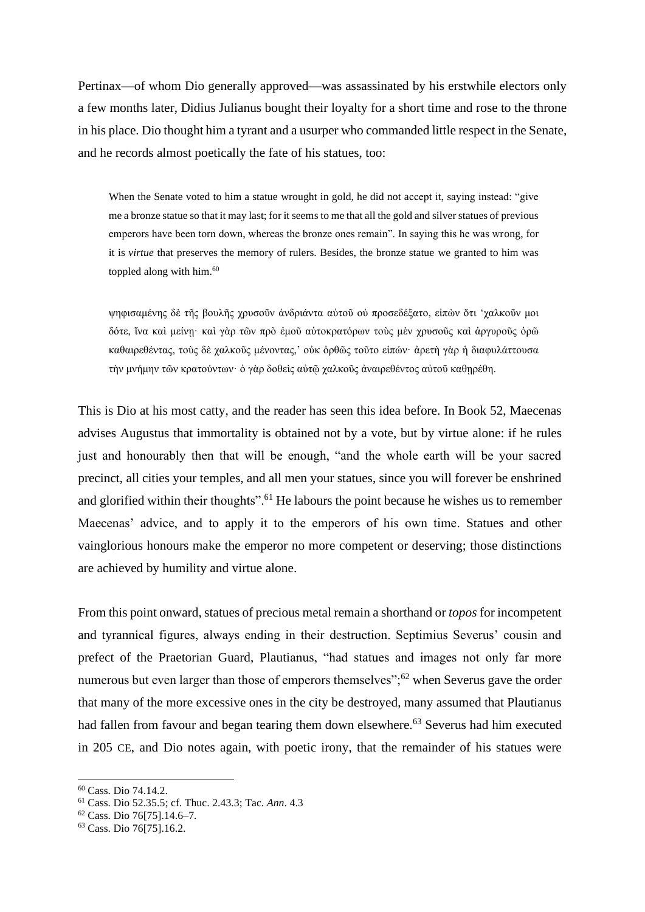Pertinax—of whom Dio generally approved—was assassinated by his erstwhile electors only a few months later, Didius Julianus bought their loyalty for a short time and rose to the throne in his place. Dio thought him a tyrant and a usurper who commanded little respect in the Senate, and he records almost poetically the fate of his statues, too:

When the Senate voted to him a statue wrought in gold, he did not accept it, saying instead: "give me a bronze statue so that it may last; for it seems to me that all the gold and silver statues of previous emperors have been torn down, whereas the bronze ones remain". In saying this he was wrong, for it is *virtue* that preserves the memory of rulers. Besides, the bronze statue we granted to him was toppled along with him. 60

ψηφισαμένης δὲ τῆς βουλῆς χρυσοῦν ἀνδριάντα αὐτοῦ οὐ προσεδέξατο, εἰπὼν ὅτι 'χαλκοῦν μοι δότε, ἵνα καὶ μείνῃ· καὶ γὰρ τῶν πρὸ ἐμοῦ αὐτοκρατόρων τοὺς μὲν χρυσοῦς καὶ ἀργυροῦς ὁρῶ καθαιρεθέντας, τοὺς δὲ χαλκοῦς μένοντας,' οὐκ ὀρθῶς τοῦτο εἰπών· ἀρετὴ γὰρ ἡ διαφυλάττουσα τὴν μνήμην τῶν κρατούντων· ὁ γὰρ δοθεὶς αὐτῷ χαλκοῦς ἀναιρεθέντος αὐτοῦ καθῃρέθη.

This is Dio at his most catty, and the reader has seen this idea before. In Book 52, Maecenas advises Augustus that immortality is obtained not by a vote, but by virtue alone: if he rules just and honourably then that will be enough, "and the whole earth will be your sacred precinct, all cities your temples, and all men your statues, since you will forever be enshrined and glorified within their thoughts".<sup>61</sup> He labours the point because he wishes us to remember Maecenas' advice, and to apply it to the emperors of his own time. Statues and other vainglorious honours make the emperor no more competent or deserving; those distinctions are achieved by humility and virtue alone.

From this point onward, statues of precious metal remain a shorthand or *topos* for incompetent and tyrannical figures, always ending in their destruction. Septimius Severus' cousin and prefect of the Praetorian Guard, Plautianus, "had statues and images not only far more numerous but even larger than those of emperors themselves"; $62$  when Severus gave the order that many of the more excessive ones in the city be destroyed, many assumed that Plautianus had fallen from favour and began tearing them down elsewhere.<sup>63</sup> Severus had him executed in 205 CE, and Dio notes again, with poetic irony, that the remainder of his statues were

<sup>60</sup> Cass. Dio 74.14.2.

<sup>61</sup> Cass. Dio 52.35.5; cf. Thuc. 2.43.3; Tac. *Ann*. 4.3

<sup>62</sup> Cass. Dio 76[75].14.6–7.

<sup>63</sup> Cass. Dio 76[75].16.2.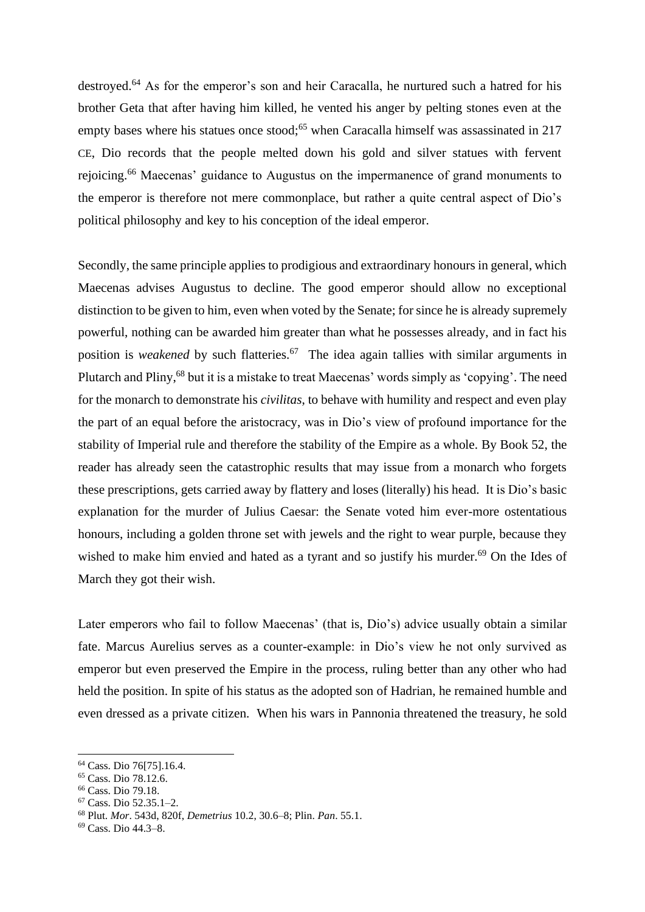destroyed.<sup>64</sup> As for the emperor's son and heir Caracalla, he nurtured such a hatred for his brother Geta that after having him killed, he vented his anger by pelting stones even at the empty bases where his statues once stood;<sup>65</sup> when Caracalla himself was assassinated in 217 CE, Dio records that the people melted down his gold and silver statues with fervent rejoicing.<sup>66</sup> Maecenas' guidance to Augustus on the impermanence of grand monuments to the emperor is therefore not mere commonplace, but rather a quite central aspect of Dio's political philosophy and key to his conception of the ideal emperor.

Secondly, the same principle applies to prodigious and extraordinary honours in general, which Maecenas advises Augustus to decline. The good emperor should allow no exceptional distinction to be given to him, even when voted by the Senate; for since he is already supremely powerful, nothing can be awarded him greater than what he possesses already, and in fact his position is *weakened* by such flatteries.<sup>67</sup> The idea again tallies with similar arguments in Plutarch and Pliny,<sup>68</sup> but it is a mistake to treat Maecenas' words simply as 'copying'. The need for the monarch to demonstrate his *civilitas*, to behave with humility and respect and even play the part of an equal before the aristocracy, was in Dio's view of profound importance for the stability of Imperial rule and therefore the stability of the Empire as a whole. By Book 52, the reader has already seen the catastrophic results that may issue from a monarch who forgets these prescriptions, gets carried away by flattery and loses (literally) his head. It is Dio's basic explanation for the murder of Julius Caesar: the Senate voted him ever-more ostentatious honours, including a golden throne set with jewels and the right to wear purple, because they wished to make him envied and hated as a tyrant and so justify his murder. $69$  On the Ides of March they got their wish.

Later emperors who fail to follow Maecenas' (that is, Dio's) advice usually obtain a similar fate. Marcus Aurelius serves as a counter-example: in Dio's view he not only survived as emperor but even preserved the Empire in the process, ruling better than any other who had held the position. In spite of his status as the adopted son of Hadrian, he remained humble and even dressed as a private citizen. When his wars in Pannonia threatened the treasury, he sold

<sup>64</sup> Cass. Dio 76[75].16.4.

<sup>65</sup> Cass. Dio 78.12.6.

<sup>66</sup> Cass. Dio 79.18.

<sup>67</sup> Cass. Dio 52.35.1–2.

<sup>68</sup> Plut. *Mor*. 543d, 820f, *Demetrius* 10.2, 30.6–8; Plin. *Pan*. 55.1.

<sup>69</sup> Cass. Dio 44.3–8.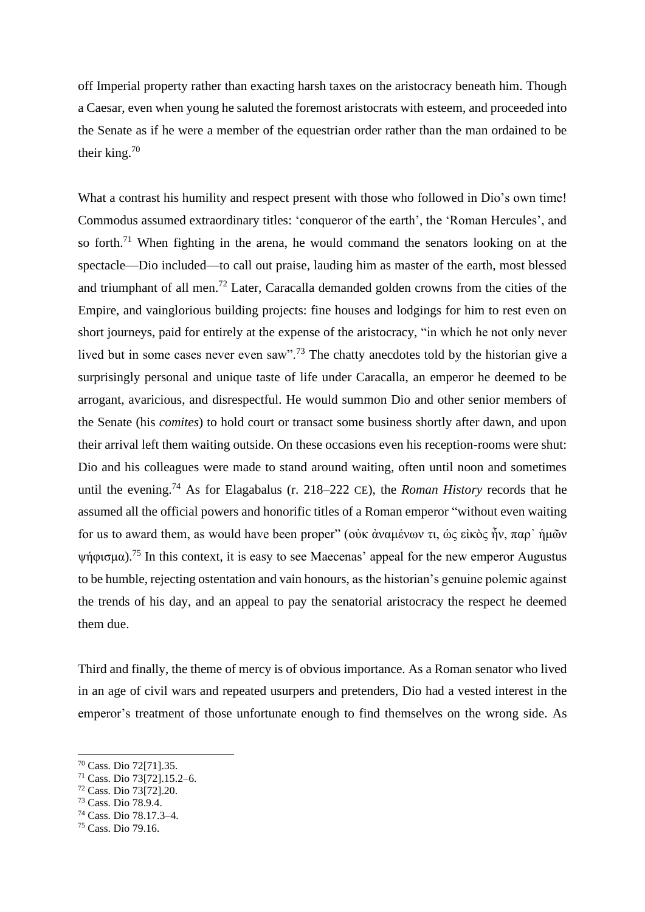off Imperial property rather than exacting harsh taxes on the aristocracy beneath him. Though a Caesar, even when young he saluted the foremost aristocrats with esteem, and proceeded into the Senate as if he were a member of the equestrian order rather than the man ordained to be their king.<sup>70</sup>

What a contrast his humility and respect present with those who followed in Dio's own time! Commodus assumed extraordinary titles: 'conqueror of the earth', the 'Roman Hercules', and so forth.<sup>71</sup> When fighting in the arena, he would command the senators looking on at the spectacle—Dio included—to call out praise, lauding him as master of the earth, most blessed and triumphant of all men.<sup>72</sup> Later, Caracalla demanded golden crowns from the cities of the Empire, and vainglorious building projects: fine houses and lodgings for him to rest even on short journeys, paid for entirely at the expense of the aristocracy, "in which he not only never lived but in some cases never even saw".<sup>73</sup> The chatty anecdotes told by the historian give a surprisingly personal and unique taste of life under Caracalla, an emperor he deemed to be arrogant, avaricious, and disrespectful. He would summon Dio and other senior members of the Senate (his *comites*) to hold court or transact some business shortly after dawn, and upon their arrival left them waiting outside. On these occasions even his reception-rooms were shut: Dio and his colleagues were made to stand around waiting, often until noon and sometimes until the evening.<sup>74</sup> As for Elagabalus (r. 218–222 CE), the *Roman History* records that he assumed all the official powers and honorific titles of a Roman emperor "without even waiting for us to award them, as would have been proper" (οὐκ ἀναμένων τι, ὡς εἰκὸς ἦν, παρ᾽ ἡμῶν ψήφισμα).<sup>75</sup> In this context, it is easy to see Maecenas' appeal for the new emperor Augustus to be humble, rejecting ostentation and vain honours, as the historian's genuine polemic against the trends of his day, and an appeal to pay the senatorial aristocracy the respect he deemed them due.

Third and finally, the theme of mercy is of obvious importance. As a Roman senator who lived in an age of civil wars and repeated usurpers and pretenders, Dio had a vested interest in the emperor's treatment of those unfortunate enough to find themselves on the wrong side. As

<sup>70</sup> Cass. Dio 72[71].35.

<sup>71</sup> Cass. Dio 73[72].15.2–6.

<sup>72</sup> Cass. Dio 73[72].20.

<sup>73</sup> Cass. Dio 78.9.4.

<sup>74</sup> Cass. Dio 78.17.3–4.

<sup>75</sup> Cass. Dio 79.16.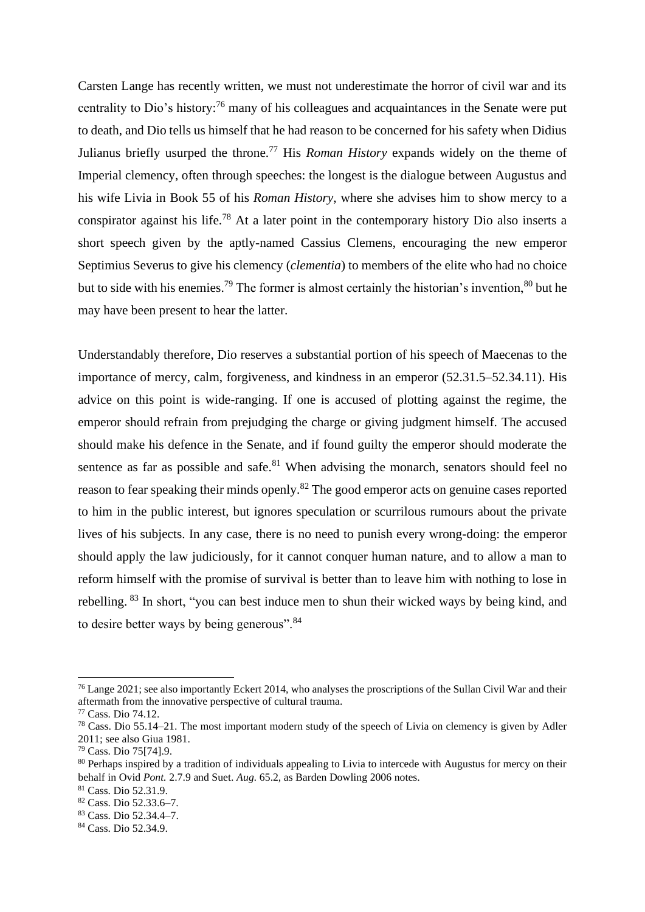Carsten Lange has recently written, we must not underestimate the horror of civil war and its centrality to Dio's history:<sup>76</sup> many of his colleagues and acquaintances in the Senate were put to death, and Dio tells us himself that he had reason to be concerned for his safety when Didius Julianus briefly usurped the throne.<sup>77</sup> His *Roman History* expands widely on the theme of Imperial clemency, often through speeches: the longest is the dialogue between Augustus and his wife Livia in Book 55 of his *Roman History*, where she advises him to show mercy to a conspirator against his life.<sup>78</sup> At a later point in the contemporary history Dio also inserts a short speech given by the aptly-named Cassius Clemens, encouraging the new emperor Septimius Severus to give his clemency (*clementia*) to members of the elite who had no choice but to side with his enemies.<sup>79</sup> The former is almost certainly the historian's invention,<sup>80</sup> but he may have been present to hear the latter.

Understandably therefore, Dio reserves a substantial portion of his speech of Maecenas to the importance of mercy, calm, forgiveness, and kindness in an emperor (52.31.5–52.34.11). His advice on this point is wide-ranging. If one is accused of plotting against the regime, the emperor should refrain from prejudging the charge or giving judgment himself. The accused should make his defence in the Senate, and if found guilty the emperor should moderate the sentence as far as possible and safe. $81$  When advising the monarch, senators should feel no reason to fear speaking their minds openly.<sup>82</sup> The good emperor acts on genuine cases reported to him in the public interest, but ignores speculation or scurrilous rumours about the private lives of his subjects. In any case, there is no need to punish every wrong-doing: the emperor should apply the law judiciously, for it cannot conquer human nature, and to allow a man to reform himself with the promise of survival is better than to leave him with nothing to lose in rebelling. <sup>83</sup> In short, "you can best induce men to shun their wicked ways by being kind, and to desire better ways by being generous".<sup>84</sup>

<sup>76</sup> Lange 2021; see also importantly Eckert 2014, who analyses the proscriptions of the Sullan Civil War and their aftermath from the innovative perspective of cultural trauma.

<sup>77</sup> Cass. Dio 74.12.

<sup>78</sup> Cass. Dio 55.14–21. The most important modern study of the speech of Livia on clemency is given by Adler 2011; see also Giua 1981.

<sup>79</sup> Cass. Dio 75[74].9.

<sup>&</sup>lt;sup>80</sup> Perhaps inspired by a tradition of individuals appealing to Livia to intercede with Augustus for mercy on their behalf in Ovid *Pont.* 2.7.9 and Suet. *Aug.* 65.2, as Barden Dowling 2006 notes.

<sup>81</sup> Cass. Dio 52.31.9.

<sup>82</sup> Cass. Dio 52.33.6–7.

<sup>83</sup> Cass. Dio 52.34.4–7.

<sup>84</sup> Cass. Dio 52.34.9.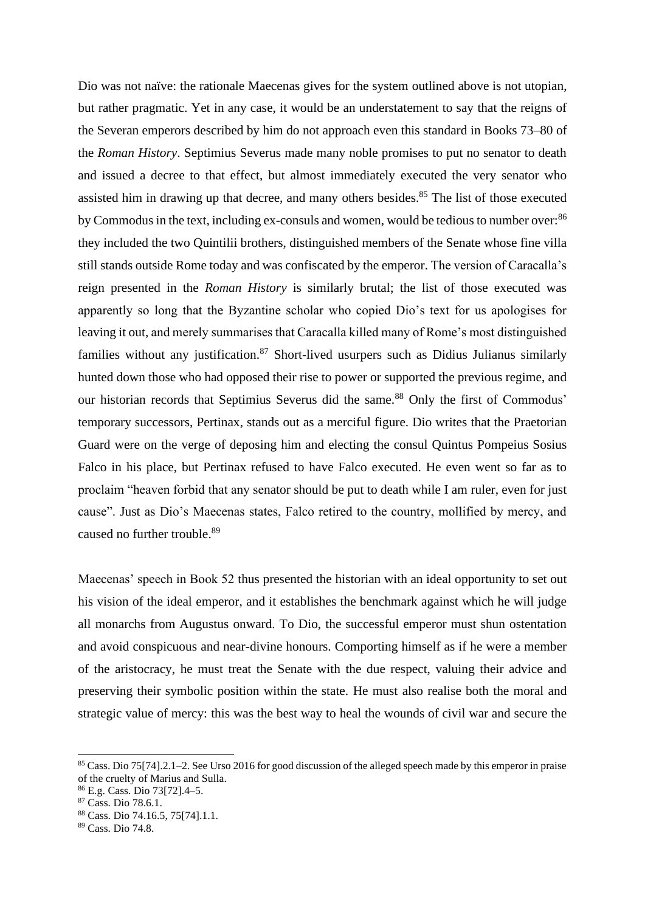Dio was not naïve: the rationale Maecenas gives for the system outlined above is not utopian, but rather pragmatic. Yet in any case, it would be an understatement to say that the reigns of the Severan emperors described by him do not approach even this standard in Books 73–80 of the *Roman History*. Septimius Severus made many noble promises to put no senator to death and issued a decree to that effect, but almost immediately executed the very senator who assisted him in drawing up that decree, and many others besides.<sup>85</sup> The list of those executed by Commodus in the text, including ex-consuls and women, would be tedious to number over:<sup>86</sup> they included the two Quintilii brothers, distinguished members of the Senate whose fine villa still stands outside Rome today and was confiscated by the emperor. The version of Caracalla's reign presented in the *Roman History* is similarly brutal; the list of those executed was apparently so long that the Byzantine scholar who copied Dio's text for us apologises for leaving it out, and merely summarises that Caracalla killed many of Rome's most distinguished families without any justification. $87$  Short-lived usurpers such as Didius Julianus similarly hunted down those who had opposed their rise to power or supported the previous regime, and our historian records that Septimius Severus did the same.<sup>88</sup> Only the first of Commodus' temporary successors, Pertinax, stands out as a merciful figure. Dio writes that the Praetorian Guard were on the verge of deposing him and electing the consul Quintus Pompeius Sosius Falco in his place, but Pertinax refused to have Falco executed. He even went so far as to proclaim "heaven forbid that any senator should be put to death while I am ruler, even for just cause". Just as Dio's Maecenas states, Falco retired to the country, mollified by mercy, and caused no further trouble.<sup>89</sup>

Maecenas' speech in Book 52 thus presented the historian with an ideal opportunity to set out his vision of the ideal emperor, and it establishes the benchmark against which he will judge all monarchs from Augustus onward. To Dio, the successful emperor must shun ostentation and avoid conspicuous and near-divine honours. Comporting himself as if he were a member of the aristocracy, he must treat the Senate with the due respect, valuing their advice and preserving their symbolic position within the state. He must also realise both the moral and strategic value of mercy: this was the best way to heal the wounds of civil war and secure the

<sup>85</sup> Cass. Dio 75[74].2.1–2. See Urso 2016 for good discussion of the alleged speech made by this emperor in praise of the cruelty of Marius and Sulla.

<sup>86</sup> E.g. Cass. Dio 73[72].4–5.

<sup>87</sup> Cass. Dio 78.6.1.

<sup>88</sup> Cass. Dio 74.16.5, 75[74].1.1.

<sup>89</sup> Cass. Dio 74.8.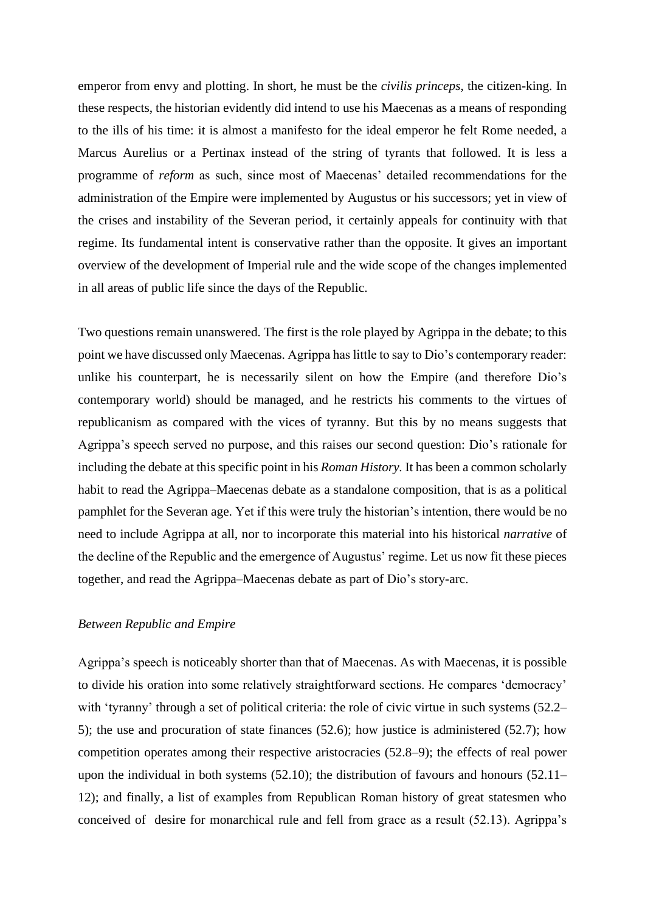emperor from envy and plotting. In short, he must be the *civilis princeps*, the citizen-king. In these respects, the historian evidently did intend to use his Maecenas as a means of responding to the ills of his time: it is almost a manifesto for the ideal emperor he felt Rome needed, a Marcus Aurelius or a Pertinax instead of the string of tyrants that followed. It is less a programme of *reform* as such, since most of Maecenas' detailed recommendations for the administration of the Empire were implemented by Augustus or his successors; yet in view of the crises and instability of the Severan period, it certainly appeals for continuity with that regime. Its fundamental intent is conservative rather than the opposite. It gives an important overview of the development of Imperial rule and the wide scope of the changes implemented in all areas of public life since the days of the Republic.

Two questions remain unanswered. The first is the role played by Agrippa in the debate; to this point we have discussed only Maecenas. Agrippa has little to say to Dio's contemporary reader: unlike his counterpart, he is necessarily silent on how the Empire (and therefore Dio's contemporary world) should be managed, and he restricts his comments to the virtues of republicanism as compared with the vices of tyranny. But this by no means suggests that Agrippa's speech served no purpose, and this raises our second question: Dio's rationale for including the debate at this specific point in his *Roman History.* It has been a common scholarly habit to read the Agrippa–Maecenas debate as a standalone composition, that is as a political pamphlet for the Severan age. Yet if this were truly the historian's intention, there would be no need to include Agrippa at all, nor to incorporate this material into his historical *narrative* of the decline of the Republic and the emergence of Augustus' regime. Let us now fit these pieces together, and read the Agrippa–Maecenas debate as part of Dio's story-arc.

#### *Between Republic and Empire*

Agrippa's speech is noticeably shorter than that of Maecenas. As with Maecenas, it is possible to divide his oration into some relatively straightforward sections. He compares 'democracy' with 'tyranny' through a set of political criteria: the role of civic virtue in such systems (52.2– 5); the use and procuration of state finances (52.6); how justice is administered (52.7); how competition operates among their respective aristocracies (52.8–9); the effects of real power upon the individual in both systems (52.10); the distribution of favours and honours (52.11– 12); and finally, a list of examples from Republican Roman history of great statesmen who conceived of desire for monarchical rule and fell from grace as a result (52.13). Agrippa's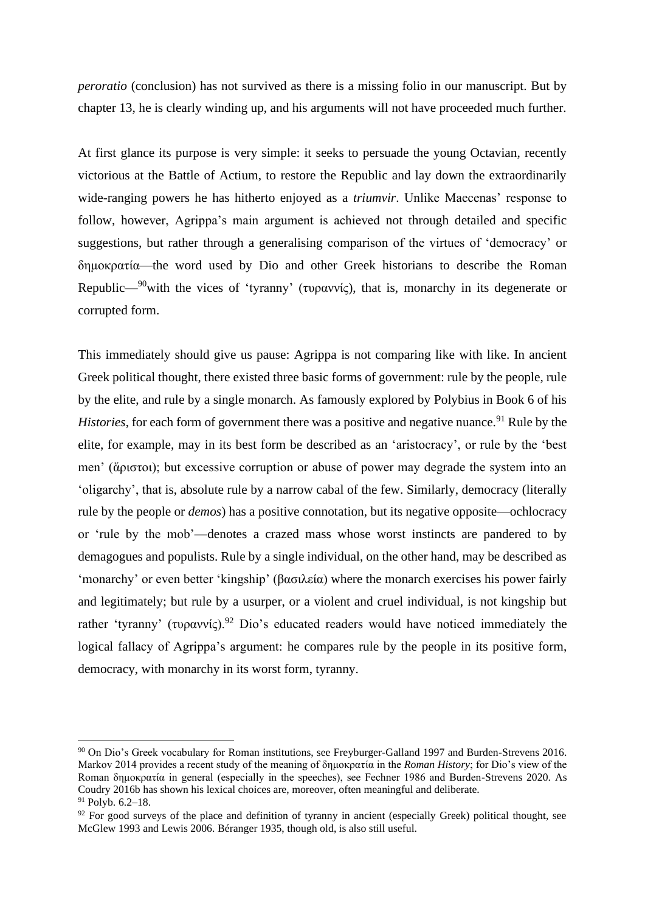*peroratio* (conclusion) has not survived as there is a missing folio in our manuscript. But by chapter 13, he is clearly winding up, and his arguments will not have proceeded much further.

At first glance its purpose is very simple: it seeks to persuade the young Octavian, recently victorious at the Battle of Actium, to restore the Republic and lay down the extraordinarily wide-ranging powers he has hitherto enjoyed as a *triumvir*. Unlike Maecenas' response to follow, however, Agrippa's main argument is achieved not through detailed and specific suggestions, but rather through a generalising comparison of the virtues of 'democracy' or δημοκρατία—the word used by Dio and other Greek historians to describe the Roman Republic—<sup>90</sup>with the vices of 'tyranny' (τυραννίς), that is, monarchy in its degenerate or corrupted form.

This immediately should give us pause: Agrippa is not comparing like with like. In ancient Greek political thought, there existed three basic forms of government: rule by the people, rule by the elite, and rule by a single monarch. As famously explored by Polybius in Book 6 of his *Histories*, for each form of government there was a positive and negative nuance.<sup>91</sup> Rule by the elite, for example, may in its best form be described as an 'aristocracy', or rule by the 'best men' (ἄριστοι); but excessive corruption or abuse of power may degrade the system into an 'oligarchy', that is, absolute rule by a narrow cabal of the few. Similarly, democracy (literally rule by the people or *demos*) has a positive connotation, but its negative opposite—ochlocracy or 'rule by the mob'—denotes a crazed mass whose worst instincts are pandered to by demagogues and populists. Rule by a single individual, on the other hand, may be described as 'monarchy' or even better 'kingship' (βασιλεία) where the monarch exercises his power fairly and legitimately; but rule by a usurper, or a violent and cruel individual, is not kingship but rather 'tyranny' (τυραννίς).<sup>92</sup> Dio's educated readers would have noticed immediately the logical fallacy of Agrippa's argument: he compares rule by the people in its positive form, democracy, with monarchy in its worst form, tyranny.

<sup>90</sup> On Dio's Greek vocabulary for Roman institutions, see Freyburger-Galland 1997 and Burden-Strevens 2016. Markov 2014 provides a recent study of the meaning of δημοκρατία in the *Roman History*; for Dio's view of the Roman δημοκρατία in general (especially in the speeches), see Fechner 1986 and Burden-Strevens 2020. As Coudry 2016b has shown his lexical choices are, moreover, often meaningful and deliberate.  $91$  Polyb. 6.2–18.

 $92$  For good surveys of the place and definition of tyranny in ancient (especially Greek) political thought, see McGlew 1993 and Lewis 2006. Béranger 1935, though old, is also still useful.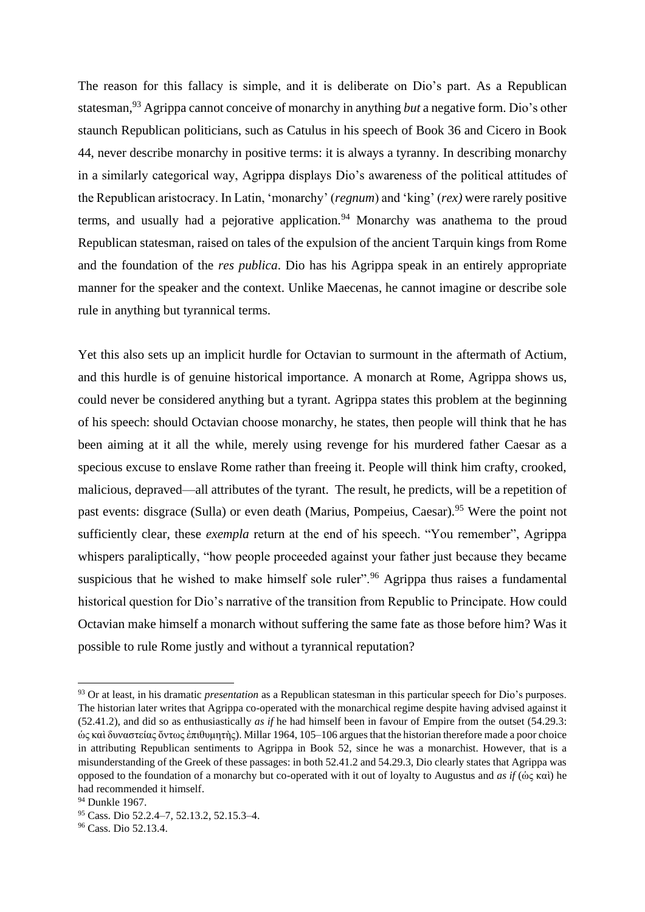The reason for this fallacy is simple, and it is deliberate on Dio's part. As a Republican statesman,<sup>93</sup> Agrippa cannot conceive of monarchy in anything *but* a negative form. Dio's other staunch Republican politicians, such as Catulus in his speech of Book 36 and Cicero in Book 44, never describe monarchy in positive terms: it is always a tyranny. In describing monarchy in a similarly categorical way, Agrippa displays Dio's awareness of the political attitudes of the Republican aristocracy. In Latin, 'monarchy' (*regnum*) and 'king' (*rex)* were rarely positive terms, and usually had a pejorative application.<sup>94</sup> Monarchy was anathema to the proud Republican statesman, raised on tales of the expulsion of the ancient Tarquin kings from Rome and the foundation of the *res publica*. Dio has his Agrippa speak in an entirely appropriate manner for the speaker and the context. Unlike Maecenas, he cannot imagine or describe sole rule in anything but tyrannical terms.

Yet this also sets up an implicit hurdle for Octavian to surmount in the aftermath of Actium, and this hurdle is of genuine historical importance. A monarch at Rome, Agrippa shows us, could never be considered anything but a tyrant. Agrippa states this problem at the beginning of his speech: should Octavian choose monarchy, he states, then people will think that he has been aiming at it all the while, merely using revenge for his murdered father Caesar as a specious excuse to enslave Rome rather than freeing it. People will think him crafty, crooked, malicious, depraved—all attributes of the tyrant. The result, he predicts, will be a repetition of past events: disgrace (Sulla) or even death (Marius, Pompeius, Caesar).<sup>95</sup> Were the point not sufficiently clear, these *exempla* return at the end of his speech. "You remember", Agrippa whispers paraliptically, "how people proceeded against your father just because they became suspicious that he wished to make himself sole ruler".<sup>96</sup> Agrippa thus raises a fundamental historical question for Dio's narrative of the transition from Republic to Principate. How could Octavian make himself a monarch without suffering the same fate as those before him? Was it possible to rule Rome justly and without a tyrannical reputation?

<sup>93</sup> Or at least, in his dramatic *presentation* as a Republican statesman in this particular speech for Dio's purposes. The historian later writes that Agrippa co-operated with the monarchical regime despite having advised against it (52.41.2), and did so as enthusiastically *as if* he had himself been in favour of Empire from the outset (54.29.3: ὡς καὶ δυναστείας ὄντως ἐπιθυμητὴς). Millar 1964, 105–106 argues that the historian therefore made a poor choice in attributing Republican sentiments to Agrippa in Book 52, since he was a monarchist. However, that is a misunderstanding of the Greek of these passages: in both 52.41.2 and 54.29.3, Dio clearly states that Agrippa was opposed to the foundation of a monarchy but co-operated with it out of loyalty to Augustus and *as if* (ὡς καὶ) he had recommended it himself.

<sup>94</sup> Dunkle 1967.

<sup>95</sup> Cass. Dio 52.2.4–7, 52.13.2, 52.15.3–4.

<sup>96</sup> Cass. Dio 52.13.4.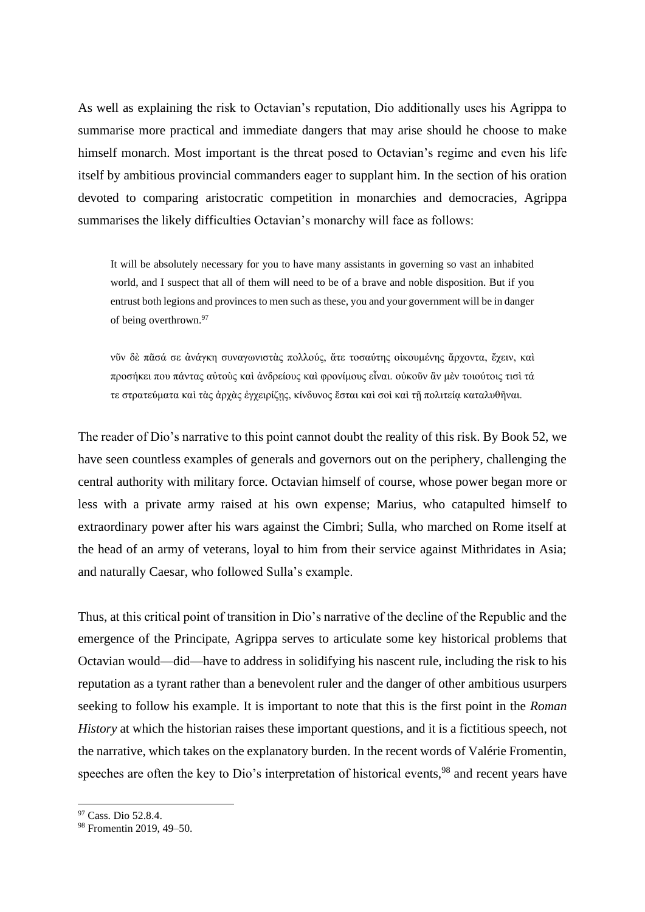As well as explaining the risk to Octavian's reputation, Dio additionally uses his Agrippa to summarise more practical and immediate dangers that may arise should he choose to make himself monarch. Most important is the threat posed to Octavian's regime and even his life itself by ambitious provincial commanders eager to supplant him. In the section of his oration devoted to comparing aristocratic competition in monarchies and democracies, Agrippa summarises the likely difficulties Octavian's monarchy will face as follows:

It will be absolutely necessary for you to have many assistants in governing so vast an inhabited world, and I suspect that all of them will need to be of a brave and noble disposition. But if you entrust both legions and provinces to men such as these, you and your government will be in danger of being overthrown.<sup>97</sup>

νῦν δὲ πᾶσά σε ἀνάγκη συναγωνιστὰς πολλούς, ἅτε τοσαύτης οἰκουμένης ἄρχοντα, ἔχειν, καὶ προσήκει που πάντας αὐτοὺς καὶ ἀνδρείους καὶ φρονίμους εἶναι. οὐκοῦν ἂν μὲν τοιούτοις τισὶ τά τε στρατεύματα καὶ τὰς ἀρχὰς ἐγχειρίζῃς, κίνδυνος ἔσται καὶ σοὶ καὶ τῇ πολιτείᾳ καταλυθῆναι.

The reader of Dio's narrative to this point cannot doubt the reality of this risk. By Book 52, we have seen countless examples of generals and governors out on the periphery, challenging the central authority with military force. Octavian himself of course, whose power began more or less with a private army raised at his own expense; Marius, who catapulted himself to extraordinary power after his wars against the Cimbri; Sulla, who marched on Rome itself at the head of an army of veterans, loyal to him from their service against Mithridates in Asia; and naturally Caesar, who followed Sulla's example.

Thus, at this critical point of transition in Dio's narrative of the decline of the Republic and the emergence of the Principate, Agrippa serves to articulate some key historical problems that Octavian would—did—have to address in solidifying his nascent rule, including the risk to his reputation as a tyrant rather than a benevolent ruler and the danger of other ambitious usurpers seeking to follow his example. It is important to note that this is the first point in the *Roman History* at which the historian raises these important questions, and it is a fictitious speech, not the narrative, which takes on the explanatory burden. In the recent words of Valérie Fromentin, speeches are often the key to Dio's interpretation of historical events,<sup>98</sup> and recent years have

<sup>97</sup> Cass. Dio 52.8.4.

<sup>98</sup> Fromentin 2019, 49–50.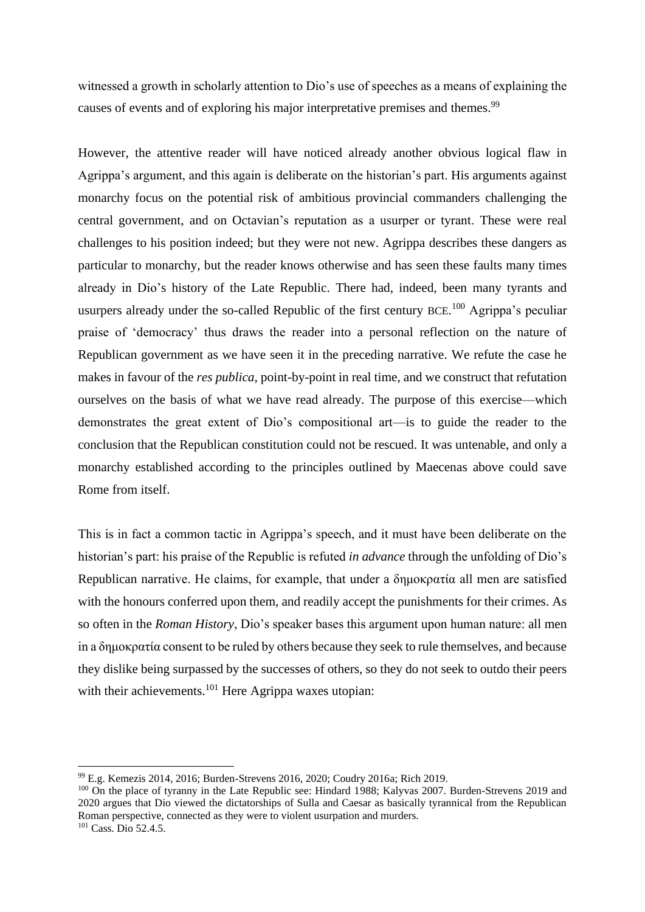witnessed a growth in scholarly attention to Dio's use of speeches as a means of explaining the causes of events and of exploring his major interpretative premises and themes.<sup>99</sup>

However, the attentive reader will have noticed already another obvious logical flaw in Agrippa's argument, and this again is deliberate on the historian's part. His arguments against monarchy focus on the potential risk of ambitious provincial commanders challenging the central government, and on Octavian's reputation as a usurper or tyrant. These were real challenges to his position indeed; but they were not new. Agrippa describes these dangers as particular to monarchy, but the reader knows otherwise and has seen these faults many times already in Dio's history of the Late Republic. There had, indeed, been many tyrants and usurpers already under the so-called Republic of the first century BCE.<sup>100</sup> Agrippa's peculiar praise of 'democracy' thus draws the reader into a personal reflection on the nature of Republican government as we have seen it in the preceding narrative. We refute the case he makes in favour of the *res publica*, point-by-point in real time, and we construct that refutation ourselves on the basis of what we have read already. The purpose of this exercise—which demonstrates the great extent of Dio's compositional art—is to guide the reader to the conclusion that the Republican constitution could not be rescued. It was untenable, and only a monarchy established according to the principles outlined by Maecenas above could save Rome from itself.

This is in fact a common tactic in Agrippa's speech, and it must have been deliberate on the historian's part: his praise of the Republic is refuted *in advance* through the unfolding of Dio's Republican narrative. He claims, for example, that under a δημοκρατία all men are satisfied with the honours conferred upon them, and readily accept the punishments for their crimes. As so often in the *Roman History*, Dio's speaker bases this argument upon human nature: all men in a δημοκρατία consent to be ruled by others because they seek to rule themselves, and because they dislike being surpassed by the successes of others, so they do not seek to outdo their peers with their achievements.<sup>101</sup> Here Agrippa waxes utopian:

<sup>99</sup> E.g. Kemezis 2014, 2016; Burden-Strevens 2016, 2020; Coudry 2016a; Rich 2019.

<sup>&</sup>lt;sup>100</sup> On the place of tyranny in the Late Republic see: Hindard 1988; Kalyvas 2007. Burden-Strevens 2019 and 2020 argues that Dio viewed the dictatorships of Sulla and Caesar as basically tyrannical from the Republican Roman perspective, connected as they were to violent usurpation and murders.  $101 \text{ Cass. Di}$ <sub>0</sub> 52.4.5.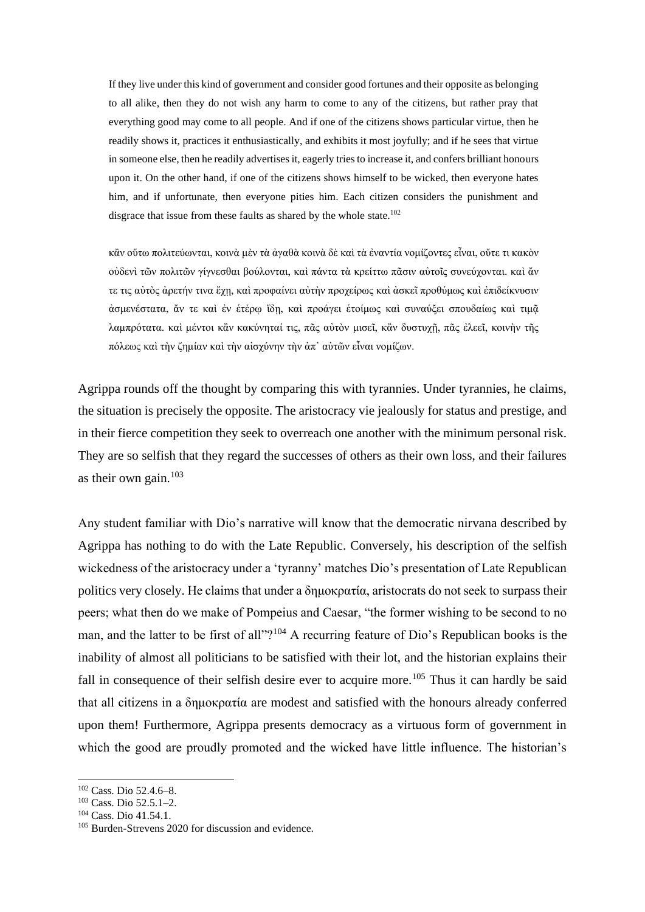If they live under this kind of government and consider good fortunes and their opposite as belonging to all alike, then they do not wish any harm to come to any of the citizens, but rather pray that everything good may come to all people. And if one of the citizens shows particular virtue, then he readily shows it, practices it enthusiastically, and exhibits it most joyfully; and if he sees that virtue in someone else, then he readily advertises it, eagerly tries to increase it, and confers brilliant honours upon it. On the other hand, if one of the citizens shows himself to be wicked, then everyone hates him, and if unfortunate, then everyone pities him. Each citizen considers the punishment and disgrace that issue from these faults as shared by the whole state.<sup>102</sup>

κἂν οὕτω πολιτεύωνται, κοινὰ μὲν τὰ ἀγαθὰ κοινὰ δὲ καὶ τὰ ἐναντία νομίζοντες εἶναι, οὔτε τι κακὸν οὐδενὶ τῶν πολιτῶν γίγνεσθαι βούλονται, καὶ πάντα τὰ κρείττω πᾶσιν αὐτοῖς συνεύχονται. καὶ ἄν τε τις αὐτὸς ἀρετήν τινα ἔχῃ, καὶ προφαίνει αὐτὴν προχείρως καὶ ἀσκεῖ προθύμως καὶ ἐπιδείκνυσιν ἀσμενέστατα, ἄν τε καὶ ἐν ἑτέρῳ ἴδῃ, καὶ προάγει ἑτοίμως καὶ συναύξει σπουδαίως καὶ τιμᾷ λαμπρότατα. καὶ μέντοι κἂν κακύνηταί τις, πᾶς αὐτὸν μισεῖ, κἂν δυστυχῇ, πᾶς ἐλεεῖ, κοινὴν τῆς πόλεως καὶ τὴν ζημίαν καὶ τὴν αἰσχύνην τὴν ἀπ᾽ αὐτῶν εἶναι νομίζων.

Agrippa rounds off the thought by comparing this with tyrannies. Under tyrannies, he claims, the situation is precisely the opposite. The aristocracy vie jealously for status and prestige, and in their fierce competition they seek to overreach one another with the minimum personal risk. They are so selfish that they regard the successes of others as their own loss, and their failures as their own gain.<sup>103</sup>

Any student familiar with Dio's narrative will know that the democratic nirvana described by Agrippa has nothing to do with the Late Republic. Conversely, his description of the selfish wickedness of the aristocracy under a 'tyranny' matches Dio's presentation of Late Republican politics very closely. He claims that under a δημοκρατία, aristocrats do not seek to surpass their peers; what then do we make of Pompeius and Caesar, "the former wishing to be second to no man, and the latter to be first of all"?<sup>104</sup> A recurring feature of Dio's Republican books is the inability of almost all politicians to be satisfied with their lot, and the historian explains their fall in consequence of their selfish desire ever to acquire more.<sup>105</sup> Thus it can hardly be said that all citizens in a δημοκρατία are modest and satisfied with the honours already conferred upon them! Furthermore, Agrippa presents democracy as a virtuous form of government in which the good are proudly promoted and the wicked have little influence. The historian's

<sup>102</sup> Cass. Dio 52.4.6–8.

<sup>103</sup> Cass. Dio 52.5.1–2.

<sup>104</sup> Cass. Dio 41.54.1.

<sup>105</sup> Burden-Strevens 2020 for discussion and evidence.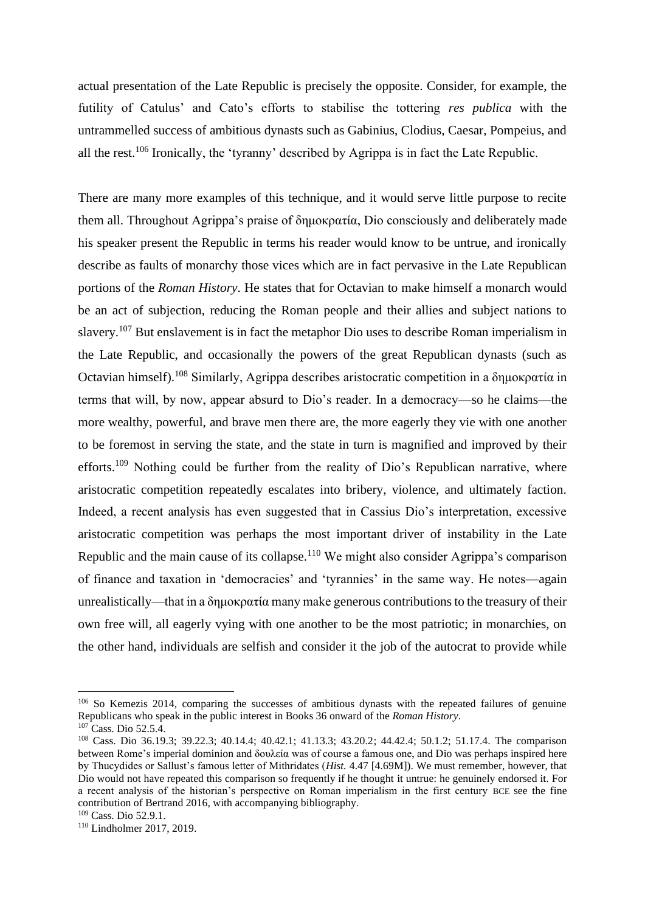actual presentation of the Late Republic is precisely the opposite. Consider, for example, the futility of Catulus' and Cato's efforts to stabilise the tottering *res publica* with the untrammelled success of ambitious dynasts such as Gabinius, Clodius, Caesar, Pompeius, and all the rest.<sup>106</sup> Ironically, the 'tyranny' described by Agrippa is in fact the Late Republic.

There are many more examples of this technique, and it would serve little purpose to recite them all. Throughout Agrippa's praise of δημοκρατία, Dio consciously and deliberately made his speaker present the Republic in terms his reader would know to be untrue, and ironically describe as faults of monarchy those vices which are in fact pervasive in the Late Republican portions of the *Roman History*. He states that for Octavian to make himself a monarch would be an act of subjection, reducing the Roman people and their allies and subject nations to slavery.<sup>107</sup> But enslavement is in fact the metaphor Dio uses to describe Roman imperialism in the Late Republic, and occasionally the powers of the great Republican dynasts (such as Octavian himself).<sup>108</sup> Similarly, Agrippa describes aristocratic competition in a δημοκρατία in terms that will, by now, appear absurd to Dio's reader. In a democracy—so he claims—the more wealthy, powerful, and brave men there are, the more eagerly they vie with one another to be foremost in serving the state, and the state in turn is magnified and improved by their efforts.<sup>109</sup> Nothing could be further from the reality of Dio's Republican narrative, where aristocratic competition repeatedly escalates into bribery, violence, and ultimately faction. Indeed, a recent analysis has even suggested that in Cassius Dio's interpretation, excessive aristocratic competition was perhaps the most important driver of instability in the Late Republic and the main cause of its collapse.<sup>110</sup> We might also consider Agrippa's comparison of finance and taxation in 'democracies' and 'tyrannies' in the same way. He notes—again unrealistically—that in a δημοκρατία many make generous contributions to the treasury of their own free will, all eagerly vying with one another to be the most patriotic; in monarchies, on the other hand, individuals are selfish and consider it the job of the autocrat to provide while

<sup>&</sup>lt;sup>106</sup> So Kemezis 2014, comparing the successes of ambitious dynasts with the repeated failures of genuine Republicans who speak in the public interest in Books 36 onward of the *Roman History*.

 $107$  Cass. Dio 52.5.4.

<sup>108</sup> Cass. Dio 36.19.3; 39.22.3; 40.14.4; 40.42.1; 41.13.3; 43.20.2; 44.42.4; 50.1.2; 51.17.4. The comparison between Rome's imperial dominion and δουλεία was of course a famous one, and Dio was perhaps inspired here by Thucydides or Sallust's famous letter of Mithridates (*Hist.* 4.47 [4.69M]). We must remember, however, that Dio would not have repeated this comparison so frequently if he thought it untrue: he genuinely endorsed it. For a recent analysis of the historian's perspective on Roman imperialism in the first century BCE see the fine contribution of Bertrand 2016, with accompanying bibliography.

<sup>109</sup> Cass. Dio 52.9.1.

<sup>110</sup> Lindholmer 2017, 2019.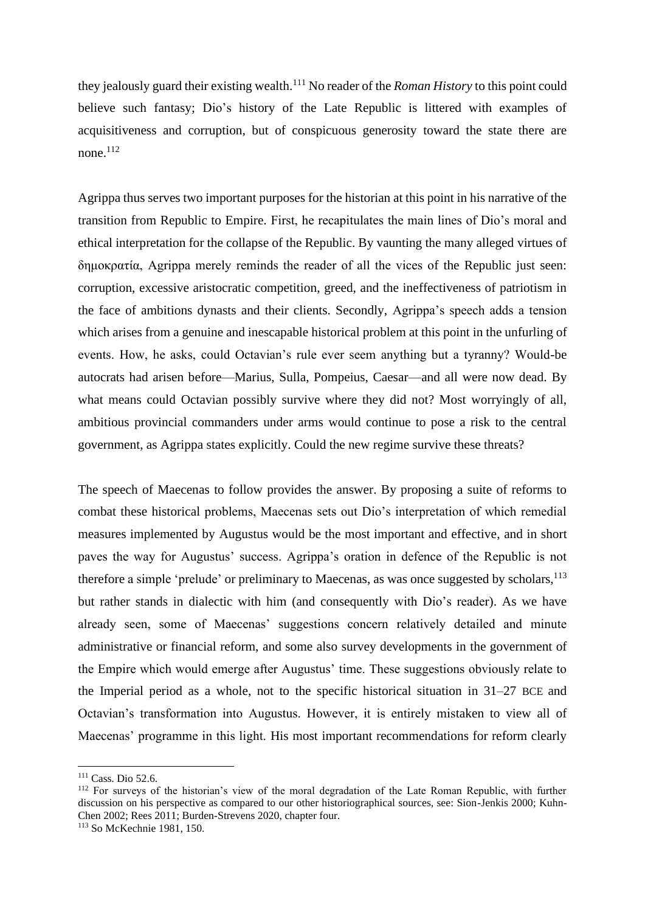they jealously guard their existing wealth.<sup>111</sup> No reader of the *Roman History* to this point could believe such fantasy; Dio's history of the Late Republic is littered with examples of acquisitiveness and corruption, but of conspicuous generosity toward the state there are none.<sup>112</sup>

Agrippa thus serves two important purposes for the historian at this point in his narrative of the transition from Republic to Empire. First, he recapitulates the main lines of Dio's moral and ethical interpretation for the collapse of the Republic. By vaunting the many alleged virtues of δημοκρατία, Agrippa merely reminds the reader of all the vices of the Republic just seen: corruption, excessive aristocratic competition, greed, and the ineffectiveness of patriotism in the face of ambitions dynasts and their clients. Secondly, Agrippa's speech adds a tension which arises from a genuine and inescapable historical problem at this point in the unfurling of events. How, he asks, could Octavian's rule ever seem anything but a tyranny? Would-be autocrats had arisen before—Marius, Sulla, Pompeius, Caesar—and all were now dead. By what means could Octavian possibly survive where they did not? Most worryingly of all, ambitious provincial commanders under arms would continue to pose a risk to the central government, as Agrippa states explicitly. Could the new regime survive these threats?

The speech of Maecenas to follow provides the answer. By proposing a suite of reforms to combat these historical problems, Maecenas sets out Dio's interpretation of which remedial measures implemented by Augustus would be the most important and effective, and in short paves the way for Augustus' success. Agrippa's oration in defence of the Republic is not therefore a simple 'prelude' or preliminary to Maecenas, as was once suggested by scholars,  $^{113}$ but rather stands in dialectic with him (and consequently with Dio's reader). As we have already seen, some of Maecenas' suggestions concern relatively detailed and minute administrative or financial reform, and some also survey developments in the government of the Empire which would emerge after Augustus' time. These suggestions obviously relate to the Imperial period as a whole, not to the specific historical situation in 31–27 BCE and Octavian's transformation into Augustus. However, it is entirely mistaken to view all of Maecenas' programme in this light. His most important recommendations for reform clearly

<sup>&</sup>lt;sup>111</sup> Cass. Dio 52.6.

<sup>&</sup>lt;sup>112</sup> For surveys of the historian's view of the moral degradation of the Late Roman Republic, with further discussion on his perspective as compared to our other historiographical sources, see: Sion-Jenkis 2000; Kuhn-Chen 2002; Rees 2011; Burden-Strevens 2020, chapter four.

<sup>113</sup> So McKechnie 1981, 150.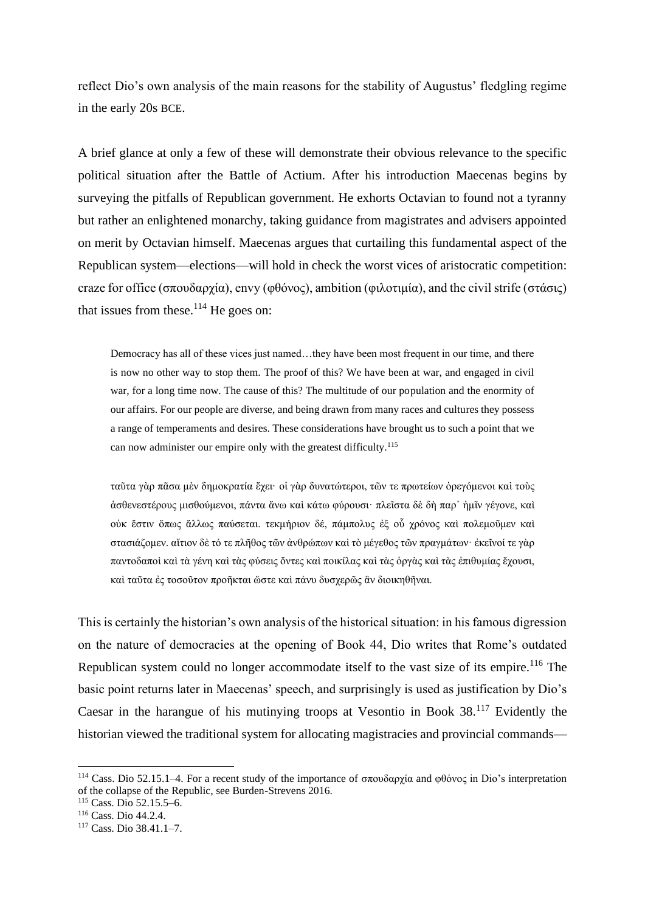reflect Dio's own analysis of the main reasons for the stability of Augustus' fledgling regime in the early 20s BCE.

A brief glance at only a few of these will demonstrate their obvious relevance to the specific political situation after the Battle of Actium. After his introduction Maecenas begins by surveying the pitfalls of Republican government. He exhorts Octavian to found not a tyranny but rather an enlightened monarchy, taking guidance from magistrates and advisers appointed on merit by Octavian himself. Maecenas argues that curtailing this fundamental aspect of the Republican system—elections—will hold in check the worst vices of aristocratic competition: craze for office (σπουδαρχία), envy (φθόνος), ambition (φιλοτιμία), and the civil strife (στάσις) that issues from these. $114$  He goes on:

Democracy has all of these vices just named…they have been most frequent in our time, and there is now no other way to stop them. The proof of this? We have been at war, and engaged in civil war, for a long time now. The cause of this? The multitude of our population and the enormity of our affairs. For our people are diverse, and being drawn from many races and cultures they possess a range of temperaments and desires. These considerations have brought us to such a point that we can now administer our empire only with the greatest difficulty.<sup>115</sup>

ταῦτα γὰρ πᾶσα μὲν δημοκρατία ἔχει· οἱ γὰρ δυνατώτεροι, τῶν τε πρωτείων ὀρεγόμενοι καὶ τοὺς ἀσθενεστέρους μισθούμενοι, πάντα ἄνω καὶ κάτω φύρουσι· πλεῖστα δὲ δὴ παρ᾽ ἡμῖν γέγονε, καὶ οὐκ ἔστιν ὅπως ἄλλως παύσεται. τεκμήριον δέ, πάμπολυς ἐξ οὗ χρόνος καὶ πολεμοῦμεν καὶ στασιάζομεν. αἴτιον δὲ τό τε πλῆθος τῶν ἀνθρώπων καὶ τὸ μέγεθος τῶν πραγμάτων· ἐκεῖνοί τε γὰρ παντοδαποὶ καὶ τὰ γένη καὶ τὰς φύσεις ὄντες καὶ ποικίλας καὶ τὰς ὀργὰς καὶ τὰς ἐπιθυμίας ἔχουσι, καὶ ταῦτα ἐς τοσοῦτον προῆκται ὥστε καὶ πάνυ δυσχερῶς ἂν διοικηθῆναι.

This is certainly the historian's own analysis of the historical situation: in his famous digression on the nature of democracies at the opening of Book 44, Dio writes that Rome's outdated Republican system could no longer accommodate itself to the vast size of its empire.<sup>116</sup> The basic point returns later in Maecenas' speech, and surprisingly is used as justification by Dio's Caesar in the harangue of his mutinying troops at Vesontio in Book 38.<sup>117</sup> Evidently the historian viewed the traditional system for allocating magistracies and provincial commands—

<sup>114</sup> Cass. Dio 52.15.1–4. For a recent study of the importance of σπουδαρχία and φθόνος in Dio's interpretation of the collapse of the Republic, see Burden-Strevens 2016.

<sup>115</sup> Cass. Dio 52.15.5–6.

<sup>116</sup> Cass. Dio 44.2.4.

<sup>117</sup> Cass. Dio 38.41.1–7.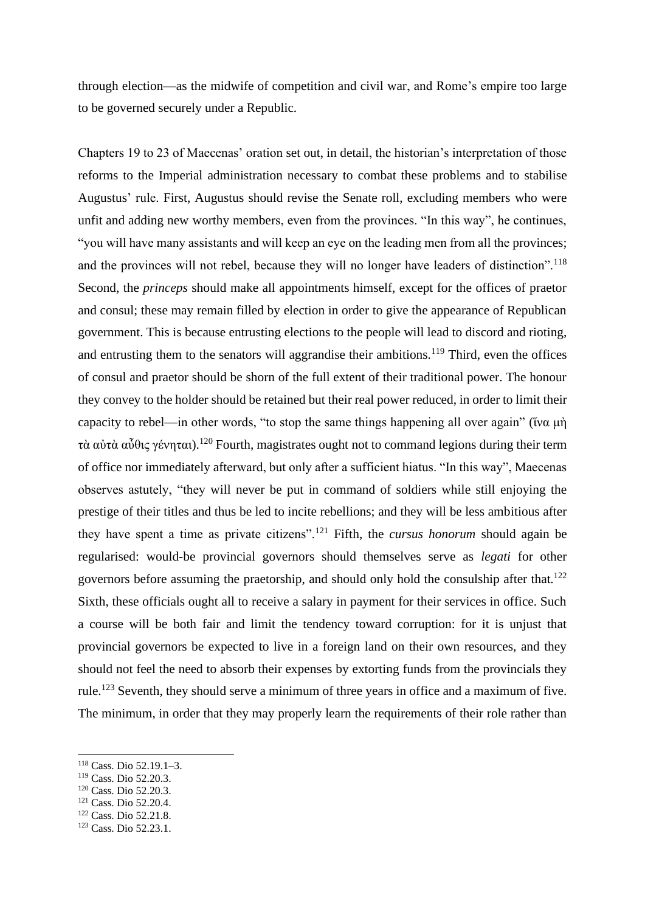through election—as the midwife of competition and civil war, and Rome's empire too large to be governed securely under a Republic.

Chapters 19 to 23 of Maecenas' oration set out, in detail, the historian's interpretation of those reforms to the Imperial administration necessary to combat these problems and to stabilise Augustus' rule. First, Augustus should revise the Senate roll, excluding members who were unfit and adding new worthy members, even from the provinces. "In this way", he continues, "you will have many assistants and will keep an eye on the leading men from all the provinces; and the provinces will not rebel, because they will no longer have leaders of distinction".<sup>118</sup> Second, the *princeps* should make all appointments himself, except for the offices of praetor and consul; these may remain filled by election in order to give the appearance of Republican government. This is because entrusting elections to the people will lead to discord and rioting, and entrusting them to the senators will aggrandise their ambitions.<sup>119</sup> Third, even the offices of consul and praetor should be shorn of the full extent of their traditional power. The honour they convey to the holder should be retained but their real power reduced, in order to limit their capacity to rebel—in other words, "to stop the same things happening all over again" (ἵνα μὴ τὰ αὐτὰ αὖθις γένηται).<sup>120</sup> Fourth, magistrates ought not to command legions during their term of office nor immediately afterward, but only after a sufficient hiatus. "In this way", Maecenas observes astutely, "they will never be put in command of soldiers while still enjoying the prestige of their titles and thus be led to incite rebellions; and they will be less ambitious after they have spent a time as private citizens".<sup>121</sup> Fifth, the *cursus honorum* should again be regularised: would-be provincial governors should themselves serve as *legati* for other governors before assuming the praetorship, and should only hold the consulship after that.<sup>122</sup> Sixth, these officials ought all to receive a salary in payment for their services in office. Such a course will be both fair and limit the tendency toward corruption: for it is unjust that provincial governors be expected to live in a foreign land on their own resources, and they should not feel the need to absorb their expenses by extorting funds from the provincials they rule.<sup>123</sup> Seventh, they should serve a minimum of three years in office and a maximum of five. The minimum, in order that they may properly learn the requirements of their role rather than

<sup>118</sup> Cass. Dio 52.19.1–3.

<sup>119</sup> Cass. Dio 52.20.3.

<sup>120</sup> Cass. Dio 52.20.3.

<sup>121</sup> Cass. Dio 52.20.4.

<sup>122</sup> Cass. Dio 52.21.8.

<sup>123</sup> Cass. Dio 52.23.1.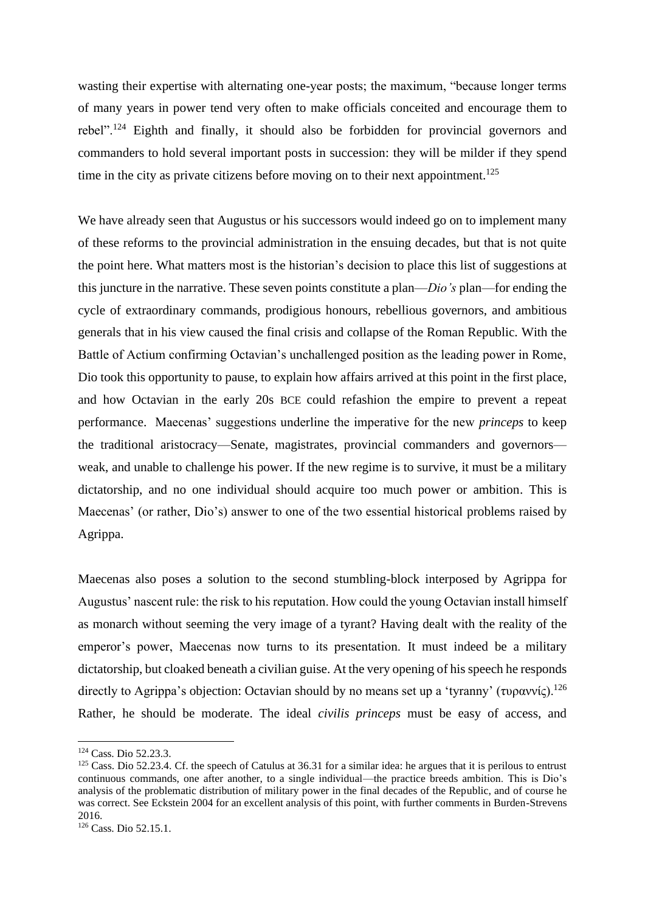wasting their expertise with alternating one-year posts; the maximum, "because longer terms of many years in power tend very often to make officials conceited and encourage them to rebel".<sup>124</sup> Eighth and finally, it should also be forbidden for provincial governors and commanders to hold several important posts in succession: they will be milder if they spend time in the city as private citizens before moving on to their next appointment.<sup>125</sup>

We have already seen that Augustus or his successors would indeed go on to implement many of these reforms to the provincial administration in the ensuing decades, but that is not quite the point here. What matters most is the historian's decision to place this list of suggestions at this juncture in the narrative. These seven points constitute a plan—*Dio's* plan—for ending the cycle of extraordinary commands, prodigious honours, rebellious governors, and ambitious generals that in his view caused the final crisis and collapse of the Roman Republic. With the Battle of Actium confirming Octavian's unchallenged position as the leading power in Rome, Dio took this opportunity to pause, to explain how affairs arrived at this point in the first place, and how Octavian in the early 20s BCE could refashion the empire to prevent a repeat performance. Maecenas' suggestions underline the imperative for the new *princeps* to keep the traditional aristocracy—Senate, magistrates, provincial commanders and governors weak, and unable to challenge his power. If the new regime is to survive, it must be a military dictatorship, and no one individual should acquire too much power or ambition. This is Maecenas' (or rather, Dio's) answer to one of the two essential historical problems raised by Agrippa.

Maecenas also poses a solution to the second stumbling-block interposed by Agrippa for Augustus' nascent rule: the risk to his reputation. How could the young Octavian install himself as monarch without seeming the very image of a tyrant? Having dealt with the reality of the emperor's power, Maecenas now turns to its presentation. It must indeed be a military dictatorship, but cloaked beneath a civilian guise. At the very opening of his speech he responds directly to Agrippa's objection: Octavian should by no means set up a 'tyranny' (τυραννίς).<sup>126</sup> Rather, he should be moderate. The ideal *civilis princeps* must be easy of access, and

<sup>124</sup> Cass. Dio 52.23.3.

<sup>&</sup>lt;sup>125</sup> Cass. Dio 52.23.4. Cf. the speech of Catulus at 36.31 for a similar idea: he argues that it is perilous to entrust continuous commands, one after another, to a single individual—the practice breeds ambition. This is Dio's analysis of the problematic distribution of military power in the final decades of the Republic, and of course he was correct. See Eckstein 2004 for an excellent analysis of this point, with further comments in Burden-Strevens 2016.

<sup>126</sup> Cass. Dio 52.15.1.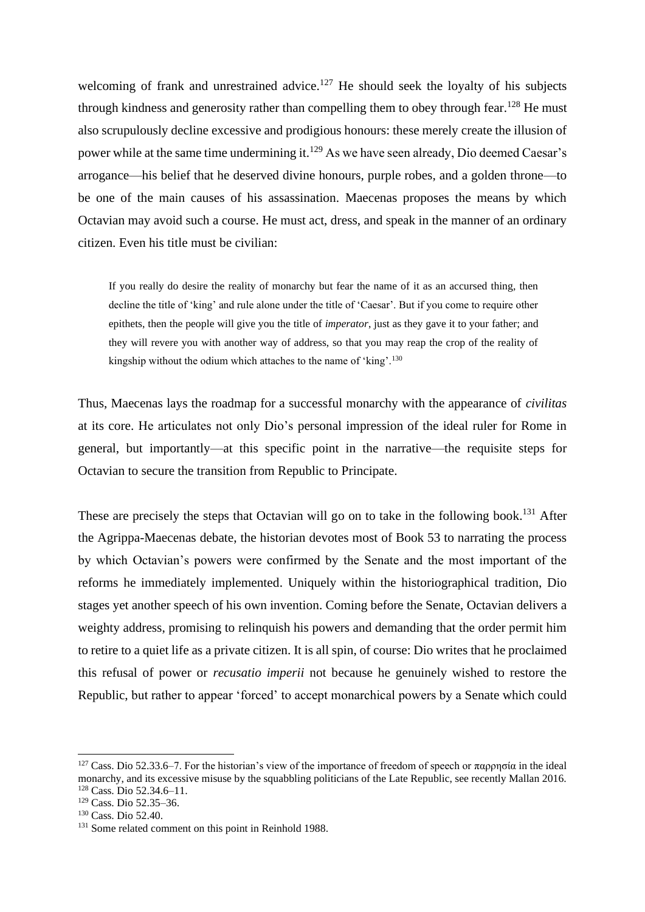welcoming of frank and unrestrained advice.<sup>127</sup> He should seek the loyalty of his subjects through kindness and generosity rather than compelling them to obey through fear.<sup>128</sup> He must also scrupulously decline excessive and prodigious honours: these merely create the illusion of power while at the same time undermining it.<sup>129</sup> As we have seen already, Dio deemed Caesar's arrogance—his belief that he deserved divine honours, purple robes, and a golden throne—to be one of the main causes of his assassination. Maecenas proposes the means by which Octavian may avoid such a course. He must act, dress, and speak in the manner of an ordinary citizen. Even his title must be civilian:

If you really do desire the reality of monarchy but fear the name of it as an accursed thing, then decline the title of 'king' and rule alone under the title of 'Caesar'. But if you come to require other epithets, then the people will give you the title of *imperator*, just as they gave it to your father; and they will revere you with another way of address, so that you may reap the crop of the reality of kingship without the odium which attaches to the name of 'king'.<sup>130</sup>

Thus, Maecenas lays the roadmap for a successful monarchy with the appearance of *civilitas* at its core. He articulates not only Dio's personal impression of the ideal ruler for Rome in general, but importantly—at this specific point in the narrative—the requisite steps for Octavian to secure the transition from Republic to Principate.

These are precisely the steps that Octavian will go on to take in the following book.<sup>131</sup> After the Agrippa-Maecenas debate, the historian devotes most of Book 53 to narrating the process by which Octavian's powers were confirmed by the Senate and the most important of the reforms he immediately implemented. Uniquely within the historiographical tradition, Dio stages yet another speech of his own invention. Coming before the Senate, Octavian delivers a weighty address, promising to relinquish his powers and demanding that the order permit him to retire to a quiet life as a private citizen. It is all spin, of course: Dio writes that he proclaimed this refusal of power or *recusatio imperii* not because he genuinely wished to restore the Republic, but rather to appear 'forced' to accept monarchical powers by a Senate which could

<sup>&</sup>lt;sup>127</sup> Cass. Dio 52.33.6–7. For the historian's view of the importance of freedom of speech or παρρησία in the ideal monarchy, and its excessive misuse by the squabbling politicians of the Late Republic, see recently Mallan 2016. <sup>128</sup> Cass. Dio 52.34.6–11.

<sup>129</sup> Cass. Dio 52.35–36.

<sup>130</sup> Cass. Dio 52.40.

<sup>&</sup>lt;sup>131</sup> Some related comment on this point in Reinhold 1988.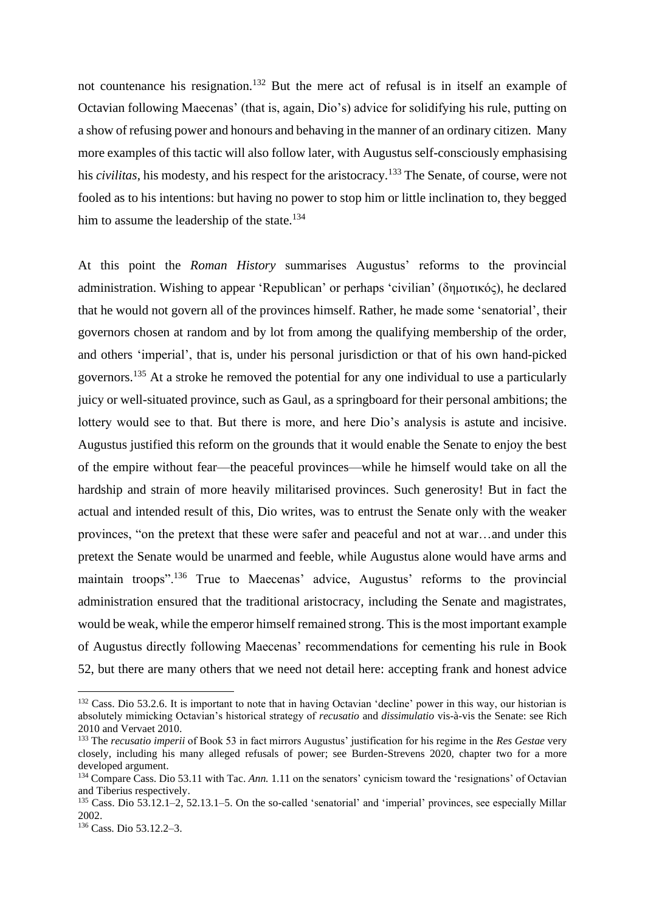not countenance his resignation.<sup>132</sup> But the mere act of refusal is in itself an example of Octavian following Maecenas' (that is, again, Dio's) advice for solidifying his rule, putting on a show of refusing power and honours and behaving in the manner of an ordinary citizen. Many more examples of this tactic will also follow later, with Augustus self-consciously emphasising his *civilitas*, his modesty, and his respect for the aristocracy.<sup>133</sup> The Senate, of course, were not fooled as to his intentions: but having no power to stop him or little inclination to, they begged him to assume the leadership of the state.<sup>134</sup>

At this point the *Roman History* summarises Augustus' reforms to the provincial administration. Wishing to appear 'Republican' or perhaps 'civilian' (δημοτικός), he declared that he would not govern all of the provinces himself. Rather, he made some 'senatorial', their governors chosen at random and by lot from among the qualifying membership of the order, and others 'imperial', that is, under his personal jurisdiction or that of his own hand-picked governors.<sup>135</sup> At a stroke he removed the potential for any one individual to use a particularly juicy or well-situated province, such as Gaul, as a springboard for their personal ambitions; the lottery would see to that. But there is more, and here Dio's analysis is astute and incisive. Augustus justified this reform on the grounds that it would enable the Senate to enjoy the best of the empire without fear—the peaceful provinces—while he himself would take on all the hardship and strain of more heavily militarised provinces. Such generosity! But in fact the actual and intended result of this, Dio writes, was to entrust the Senate only with the weaker provinces, "on the pretext that these were safer and peaceful and not at war…and under this pretext the Senate would be unarmed and feeble, while Augustus alone would have arms and maintain troops".<sup>136</sup> True to Maecenas' advice, Augustus' reforms to the provincial administration ensured that the traditional aristocracy, including the Senate and magistrates, would be weak, while the emperor himself remained strong. This is the most important example of Augustus directly following Maecenas' recommendations for cementing his rule in Book 52, but there are many others that we need not detail here: accepting frank and honest advice

<sup>&</sup>lt;sup>132</sup> Cass. Dio 53.2.6. It is important to note that in having Octavian 'decline' power in this way, our historian is absolutely mimicking Octavian's historical strategy of *recusatio* and *dissimulatio* vis-à-vis the Senate: see Rich 2010 and Vervaet 2010.

<sup>133</sup> The *recusatio imperii* of Book 53 in fact mirrors Augustus' justification for his regime in the *Res Gestae* very closely, including his many alleged refusals of power; see Burden-Strevens 2020, chapter two for a more developed argument.

<sup>&</sup>lt;sup>134</sup> Compare Cass. Dio 53.11 with Tac. *Ann.* 1.11 on the senators' cynicism toward the 'resignations' of Octavian and Tiberius respectively.

<sup>135</sup> Cass. Dio 53.12.1–2, 52.13.1–5. On the so-called 'senatorial' and 'imperial' provinces, see especially Millar 2002.

<sup>136</sup> Cass. Dio 53.12.2–3.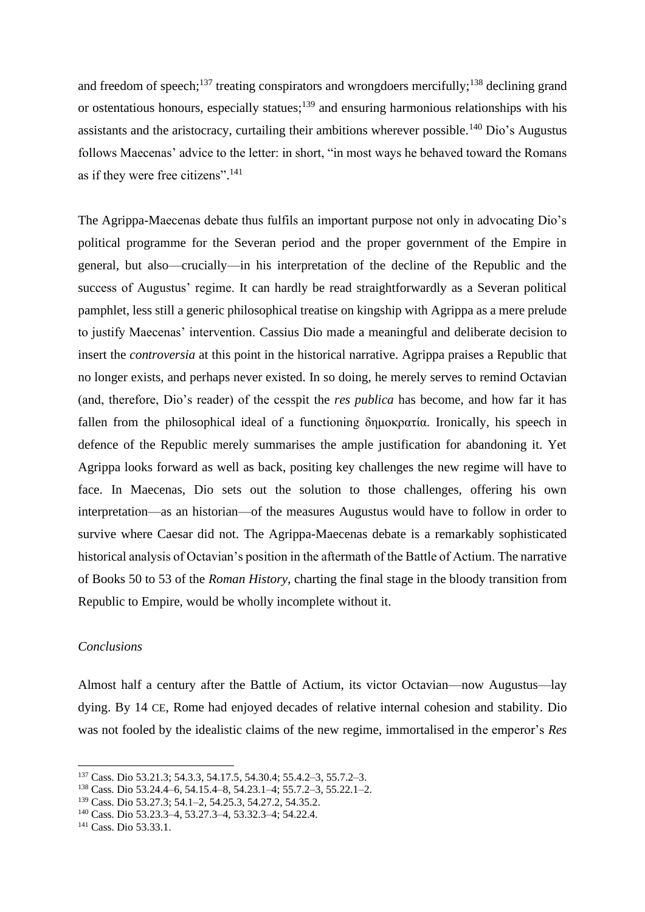and freedom of speech;<sup>137</sup> treating conspirators and wrongdoers mercifully;<sup>138</sup> declining grand or ostentatious honours, especially statues;<sup>139</sup> and ensuring harmonious relationships with his assistants and the aristocracy, curtailing their ambitions wherever possible.<sup>140</sup> Dio's Augustus follows Maecenas' advice to the letter: in short, "in most ways he behaved toward the Romans as if they were free citizens". 141

The Agrippa-Maecenas debate thus fulfils an important purpose not only in advocating Dio's political programme for the Severan period and the proper government of the Empire in general, but also—crucially—in his interpretation of the decline of the Republic and the success of Augustus' regime. It can hardly be read straightforwardly as a Severan political pamphlet, less still a generic philosophical treatise on kingship with Agrippa as a mere prelude to justify Maecenas' intervention. Cassius Dio made a meaningful and deliberate decision to insert the *controversia* at this point in the historical narrative. Agrippa praises a Republic that no longer exists, and perhaps never existed. In so doing, he merely serves to remind Octavian (and, therefore, Dio's reader) of the cesspit the *res publica* has become, and how far it has fallen from the philosophical ideal of a functioning δημοκρατία. Ironically, his speech in defence of the Republic merely summarises the ample justification for abandoning it. Yet Agrippa looks forward as well as back, positing key challenges the new regime will have to face. In Maecenas, Dio sets out the solution to those challenges, offering his own interpretation—as an historian—of the measures Augustus would have to follow in order to survive where Caesar did not. The Agrippa-Maecenas debate is a remarkably sophisticated historical analysis of Octavian's position in the aftermath of the Battle of Actium. The narrative of Books 50 to 53 of the *Roman History*, charting the final stage in the bloody transition from Republic to Empire, would be wholly incomplete without it.

## *Conclusions*

Almost half a century after the Battle of Actium, its victor Octavian—now Augustus—lay dying. By 14 CE, Rome had enjoyed decades of relative internal cohesion and stability. Dio was not fooled by the idealistic claims of the new regime, immortalised in the emperor's *Res* 

<sup>137</sup> Cass. Dio 53.21.3; 54.3.3, 54.17.5, 54.30.4; 55.4.2–3, 55.7.2–3.

<sup>138</sup> Cass. Dio 53.24.4–6, 54.15.4–8, 54.23.1–4; 55.7.2–3, 55.22.1–2.

<sup>139</sup> Cass. Dio 53.27.3; 54.1–2, 54.25.3, 54.27.2, 54.35.2.

<sup>140</sup> Cass. Dio 53.23.3–4, 53.27.3–4, 53.32.3–4; 54.22.4.

<sup>141</sup> Cass. Dio 53.33.1.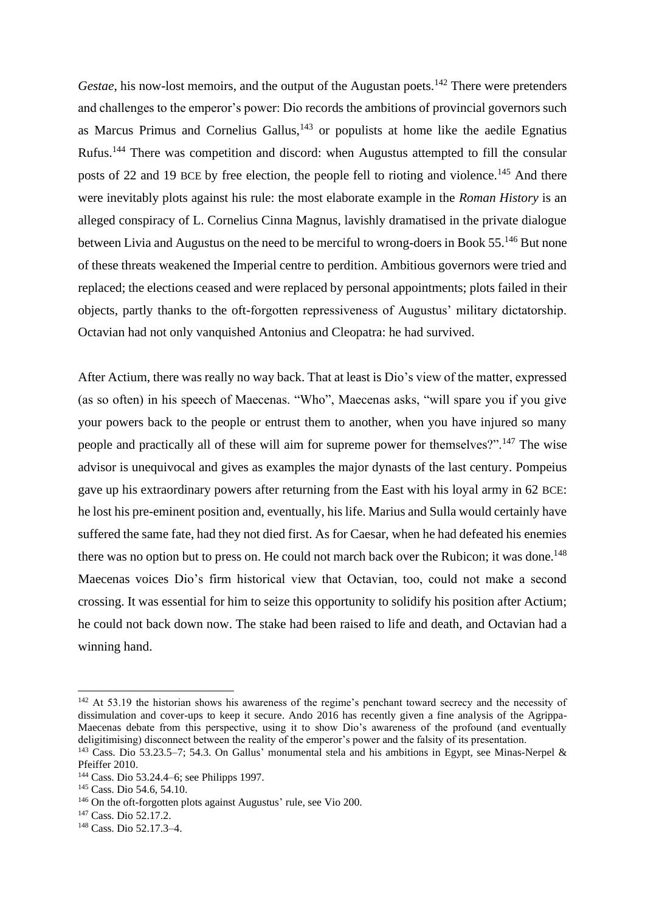*Gestae*, his now-lost memoirs, and the output of the Augustan poets.<sup>142</sup> There were pretenders and challenges to the emperor's power: Dio records the ambitions of provincial governors such as Marcus Primus and Cornelius Gallus, $143$  or populists at home like the aedile Egnatius Rufus.<sup>144</sup> There was competition and discord: when Augustus attempted to fill the consular posts of 22 and 19 BCE by free election, the people fell to rioting and violence.<sup>145</sup> And there were inevitably plots against his rule: the most elaborate example in the *Roman History* is an alleged conspiracy of L. Cornelius Cinna Magnus, lavishly dramatised in the private dialogue between Livia and Augustus on the need to be merciful to wrong-doers in Book 55.<sup>146</sup> But none of these threats weakened the Imperial centre to perdition. Ambitious governors were tried and replaced; the elections ceased and were replaced by personal appointments; plots failed in their objects, partly thanks to the oft-forgotten repressiveness of Augustus' military dictatorship. Octavian had not only vanquished Antonius and Cleopatra: he had survived.

After Actium, there was really no way back. That at least is Dio's view of the matter, expressed (as so often) in his speech of Maecenas. "Who", Maecenas asks, "will spare you if you give your powers back to the people or entrust them to another, when you have injured so many people and practically all of these will aim for supreme power for themselves?".<sup>147</sup> The wise advisor is unequivocal and gives as examples the major dynasts of the last century. Pompeius gave up his extraordinary powers after returning from the East with his loyal army in 62 BCE: he lost his pre-eminent position and, eventually, his life. Marius and Sulla would certainly have suffered the same fate, had they not died first. As for Caesar, when he had defeated his enemies there was no option but to press on. He could not march back over the Rubicon; it was done.<sup>148</sup> Maecenas voices Dio's firm historical view that Octavian, too, could not make a second crossing. It was essential for him to seize this opportunity to solidify his position after Actium; he could not back down now. The stake had been raised to life and death, and Octavian had a winning hand.

<sup>&</sup>lt;sup>142</sup> At 53.19 the historian shows his awareness of the regime's penchant toward secrecy and the necessity of dissimulation and cover-ups to keep it secure. Ando 2016 has recently given a fine analysis of the Agrippa-Maecenas debate from this perspective, using it to show Dio's awareness of the profound (and eventually deligitimising) disconnect between the reality of the emperor's power and the falsity of its presentation.

<sup>143</sup> Cass. Dio 53.23.5–7; 54.3. On Gallus' monumental stela and his ambitions in Egypt, see Minas-Nerpel & Pfeiffer 2010.

<sup>144</sup> Cass. Dio 53.24.4–6; see Philipps 1997.

<sup>&</sup>lt;sup>145</sup> Cass. Dio 54.6, 54.10.

<sup>&</sup>lt;sup>146</sup> On the oft-forgotten plots against Augustus' rule, see Vio 200.

 $147$  Cass. Dio 52.17.2.

<sup>148</sup> Cass. Dio 52.17.3–4.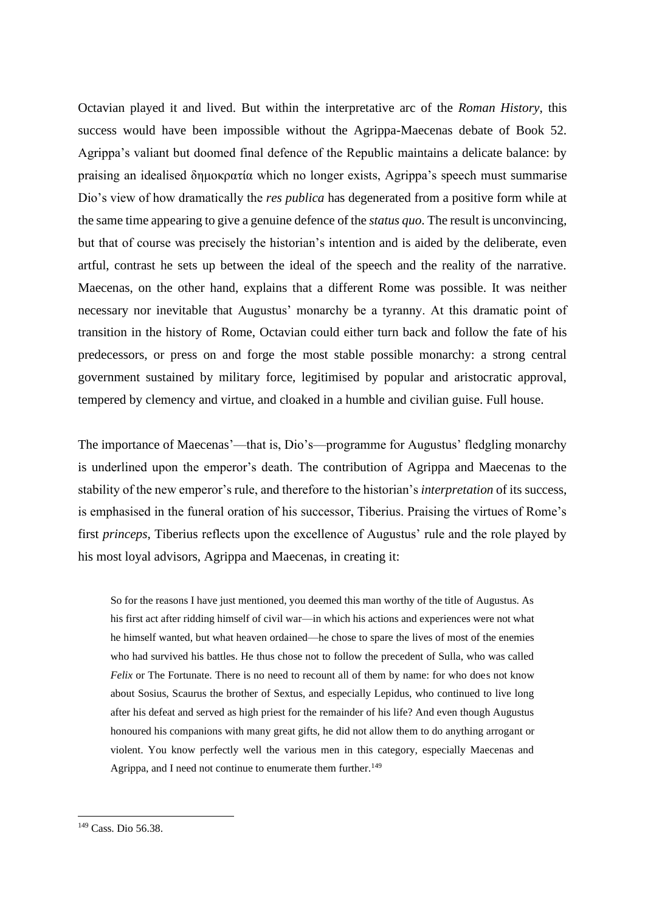Octavian played it and lived. But within the interpretative arc of the *Roman History*, this success would have been impossible without the Agrippa-Maecenas debate of Book 52. Agrippa's valiant but doomed final defence of the Republic maintains a delicate balance: by praising an idealised δημοκρατία which no longer exists, Agrippa's speech must summarise Dio's view of how dramatically the *res publica* has degenerated from a positive form while at the same time appearing to give a genuine defence of the *status quo*. The result is unconvincing, but that of course was precisely the historian's intention and is aided by the deliberate, even artful, contrast he sets up between the ideal of the speech and the reality of the narrative. Maecenas, on the other hand, explains that a different Rome was possible. It was neither necessary nor inevitable that Augustus' monarchy be a tyranny. At this dramatic point of transition in the history of Rome, Octavian could either turn back and follow the fate of his predecessors, or press on and forge the most stable possible monarchy: a strong central government sustained by military force, legitimised by popular and aristocratic approval, tempered by clemency and virtue, and cloaked in a humble and civilian guise. Full house.

The importance of Maecenas'—that is, Dio's—programme for Augustus' fledgling monarchy is underlined upon the emperor's death. The contribution of Agrippa and Maecenas to the stability of the new emperor's rule, and therefore to the historian's *interpretation* of its success, is emphasised in the funeral oration of his successor, Tiberius. Praising the virtues of Rome's first *princeps*, Tiberius reflects upon the excellence of Augustus' rule and the role played by his most loyal advisors, Agrippa and Maecenas, in creating it:

So for the reasons I have just mentioned, you deemed this man worthy of the title of Augustus. As his first act after ridding himself of civil war—in which his actions and experiences were not what he himself wanted, but what heaven ordained—he chose to spare the lives of most of the enemies who had survived his battles. He thus chose not to follow the precedent of Sulla, who was called *Felix* or The Fortunate. There is no need to recount all of them by name: for who does not know about Sosius, Scaurus the brother of Sextus, and especially Lepidus, who continued to live long after his defeat and served as high priest for the remainder of his life? And even though Augustus honoured his companions with many great gifts, he did not allow them to do anything arrogant or violent. You know perfectly well the various men in this category, especially Maecenas and Agrippa, and I need not continue to enumerate them further.<sup>149</sup>

<sup>149</sup> Cass. Dio 56.38.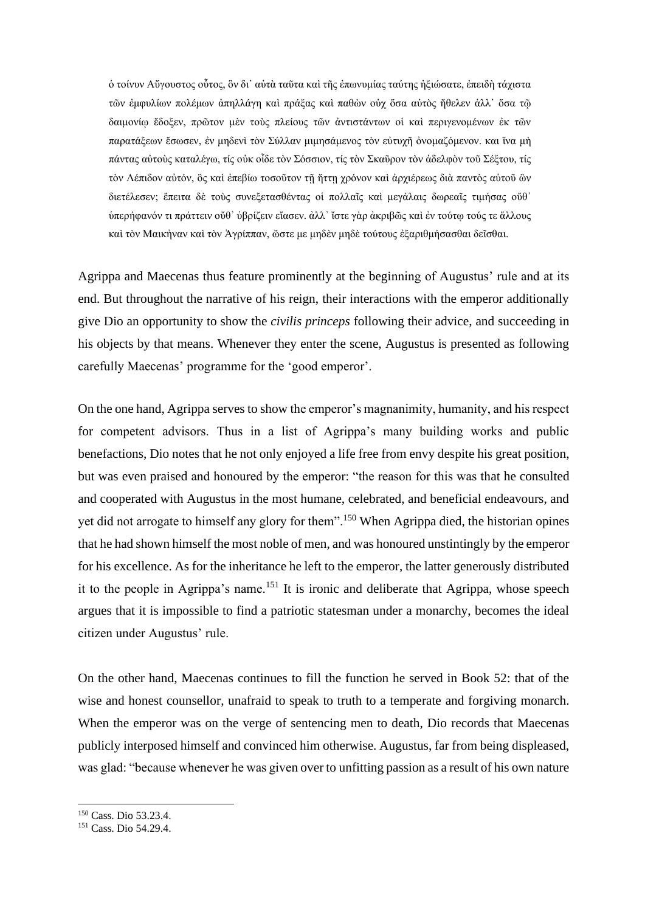ὁ τοίνυν Αὔγουστος οὗτος, ὃν δι᾽ αὐτὰ ταῦτα καὶ τῆς ἐπωνυμίας ταύτης ἠξιώσατε, ἐπειδὴ τάχιστα τῶν ἐμφυλίων πολέμων ἀπηλλάγη καὶ πράξας καὶ παθὼν οὐχ ὅσα αὐτὸς ἤθελεν ἀλλ᾽ ὅσα τῷ δαιμονίῳ ἔδοξεν, πρῶτον μὲν τοὺς πλείους τῶν ἀντιστάντων οἱ καὶ περιγενομένων ἐκ τῶν παρατάξεων ἔσωσεν, ἐν μηδενὶ τὸν Σύλλαν μιμησάμενος τὸν εὐτυχῆ ὀνομαζόμενον. και ἵνα μὴ πάντας αὐτοὺς καταλέγω, τίς οὐκ οἶδε τὸν Σόσσιον, τίς τὸν Σκαῦρον τὸν ἀδελφὸν τοῦ Σέξτου, τίς τὸν Λέπιδον αὐτόν, ὃς καὶ ἐπεβίω τοσοῦτον τῇ ἥττῃ χρόνον καὶ ἀρχιέρεως διὰ παντὸς αὐτοῦ ὢν διετέλεσεν; ἔπειτα δὲ τοὺς συνεξετασθέντας οἱ πολλαῖς καὶ μεγάλαις δωρεαῖς τιμήσας οὔθ᾽ ὑπερήφανόν τι πράττειν οὔθ᾽ ὑβρίζειν εἴασεν. ἀλλ᾽ ἴστε γὰρ ἀκριβῶς καὶ ἐν τούτῳ τούς τε ἄλλους καὶ τὸν Μαικἠναν καὶ τὸν Ἀγρίππαν, ὥστε με μηδὲν μηδὲ τούτους ἐξαριθμήσασθαι δεῖσθαι.

Agrippa and Maecenas thus feature prominently at the beginning of Augustus' rule and at its end. But throughout the narrative of his reign, their interactions with the emperor additionally give Dio an opportunity to show the *civilis princeps* following their advice, and succeeding in his objects by that means. Whenever they enter the scene, Augustus is presented as following carefully Maecenas' programme for the 'good emperor'.

On the one hand, Agrippa serves to show the emperor's magnanimity, humanity, and his respect for competent advisors. Thus in a list of Agrippa's many building works and public benefactions, Dio notes that he not only enjoyed a life free from envy despite his great position, but was even praised and honoured by the emperor: "the reason for this was that he consulted and cooperated with Augustus in the most humane, celebrated, and beneficial endeavours, and yet did not arrogate to himself any glory for them".<sup>150</sup> When Agrippa died, the historian opines that he had shown himself the most noble of men, and was honoured unstintingly by the emperor for his excellence. As for the inheritance he left to the emperor, the latter generously distributed it to the people in Agrippa's name.<sup>151</sup> It is ironic and deliberate that Agrippa, whose speech argues that it is impossible to find a patriotic statesman under a monarchy, becomes the ideal citizen under Augustus' rule.

On the other hand, Maecenas continues to fill the function he served in Book 52: that of the wise and honest counsellor, unafraid to speak to truth to a temperate and forgiving monarch. When the emperor was on the verge of sentencing men to death, Dio records that Maecenas publicly interposed himself and convinced him otherwise. Augustus, far from being displeased, was glad: "because whenever he was given over to unfitting passion as a result of his own nature

<sup>150</sup> Cass. Dio 53.23.4.

<sup>151</sup> Cass. Dio 54.29.4.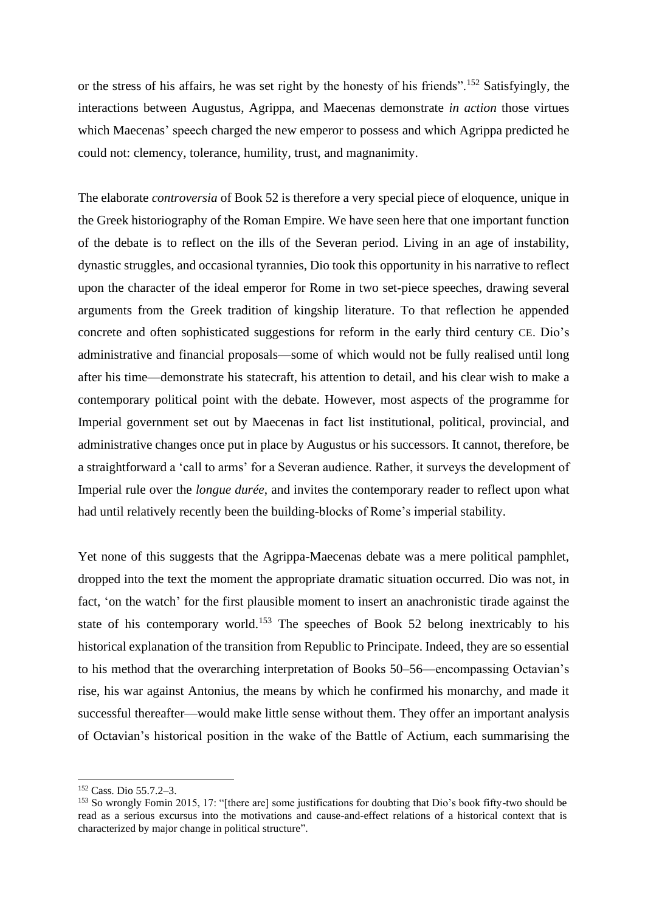or the stress of his affairs, he was set right by the honesty of his friends".<sup>152</sup> Satisfyingly, the interactions between Augustus, Agrippa, and Maecenas demonstrate *in action* those virtues which Maecenas' speech charged the new emperor to possess and which Agrippa predicted he could not: clemency, tolerance, humility, trust, and magnanimity.

The elaborate *controversia* of Book 52 is therefore a very special piece of eloquence, unique in the Greek historiography of the Roman Empire. We have seen here that one important function of the debate is to reflect on the ills of the Severan period. Living in an age of instability, dynastic struggles, and occasional tyrannies, Dio took this opportunity in his narrative to reflect upon the character of the ideal emperor for Rome in two set-piece speeches, drawing several arguments from the Greek tradition of kingship literature. To that reflection he appended concrete and often sophisticated suggestions for reform in the early third century CE. Dio's administrative and financial proposals—some of which would not be fully realised until long after his time—demonstrate his statecraft, his attention to detail, and his clear wish to make a contemporary political point with the debate. However, most aspects of the programme for Imperial government set out by Maecenas in fact list institutional, political, provincial, and administrative changes once put in place by Augustus or his successors. It cannot, therefore, be a straightforward a 'call to arms' for a Severan audience. Rather, it surveys the development of Imperial rule over the *longue durée*, and invites the contemporary reader to reflect upon what had until relatively recently been the building-blocks of Rome's imperial stability.

Yet none of this suggests that the Agrippa-Maecenas debate was a mere political pamphlet, dropped into the text the moment the appropriate dramatic situation occurred. Dio was not, in fact, 'on the watch' for the first plausible moment to insert an anachronistic tirade against the state of his contemporary world.<sup>153</sup> The speeches of Book 52 belong inextricably to his historical explanation of the transition from Republic to Principate. Indeed, they are so essential to his method that the overarching interpretation of Books 50–56—encompassing Octavian's rise, his war against Antonius, the means by which he confirmed his monarchy, and made it successful thereafter—would make little sense without them. They offer an important analysis of Octavian's historical position in the wake of the Battle of Actium, each summarising the

<sup>152</sup> Cass. Dio 55.7.2–3.

<sup>153</sup> So wrongly Fomin 2015, 17: "[there are] some justifications for doubting that Dio's book fifty-two should be read as a serious excursus into the motivations and cause-and-effect relations of a historical context that is characterized by major change in political structure".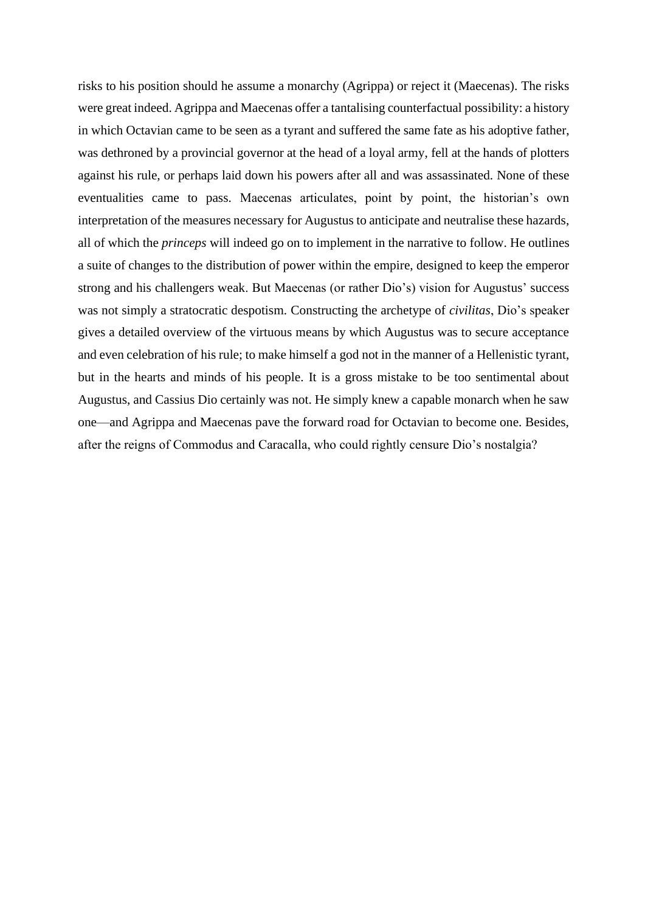risks to his position should he assume a monarchy (Agrippa) or reject it (Maecenas). The risks were great indeed. Agrippa and Maecenas offer a tantalising counterfactual possibility: a history in which Octavian came to be seen as a tyrant and suffered the same fate as his adoptive father, was dethroned by a provincial governor at the head of a loyal army, fell at the hands of plotters against his rule, or perhaps laid down his powers after all and was assassinated. None of these eventualities came to pass. Maecenas articulates, point by point, the historian's own interpretation of the measures necessary for Augustus to anticipate and neutralise these hazards, all of which the *princeps* will indeed go on to implement in the narrative to follow. He outlines a suite of changes to the distribution of power within the empire, designed to keep the emperor strong and his challengers weak. But Maecenas (or rather Dio's) vision for Augustus' success was not simply a stratocratic despotism. Constructing the archetype of *civilitas*, Dio's speaker gives a detailed overview of the virtuous means by which Augustus was to secure acceptance and even celebration of his rule; to make himself a god not in the manner of a Hellenistic tyrant, but in the hearts and minds of his people. It is a gross mistake to be too sentimental about Augustus, and Cassius Dio certainly was not. He simply knew a capable monarch when he saw one—and Agrippa and Maecenas pave the forward road for Octavian to become one. Besides, after the reigns of Commodus and Caracalla, who could rightly censure Dio's nostalgia?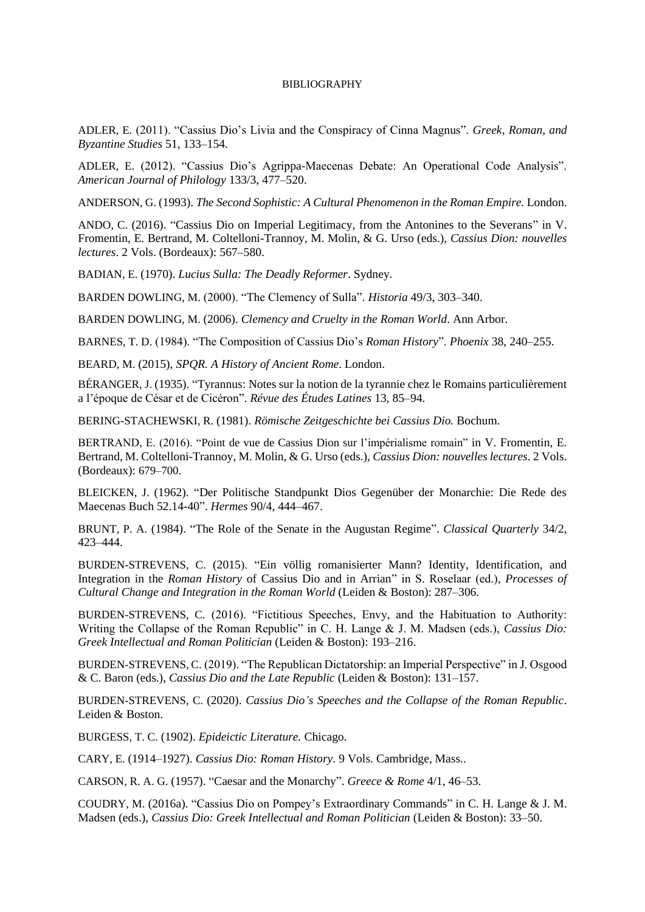#### BIBLIOGRAPHY

ADLER, E. (2011). "Cassius Dio's Livia and the Conspiracy of Cinna Magnus". *Greek, Roman, and Byzantine Studies* 51, 133–154.

ADLER, E. (2012). "Cassius Dio's Agrippa-Maecenas Debate: An Operational Code Analysis". *American Journal of Philology* 133/3, 477–520.

ANDERSON, G. (1993). *The Second Sophistic: A Cultural Phenomenon in the Roman Empire.* London.

ANDO, C. (2016). "Cassius Dio on Imperial Legitimacy, from the Antonines to the Severans" in V. Fromentin, E. Bertrand, M. Coltelloni-Trannoy, M. Molin, & G. Urso (eds.), *Cassius Dion: nouvelles lectures*. 2 Vols. (Bordeaux): 567–580.

BADIAN, E. (1970). *Lucius Sulla: The Deadly Reformer*. Sydney.

BARDEN DOWLING, M. (2000). "The Clemency of Sulla". *Historia* 49/3, 303–340.

BARDEN DOWLING, M. (2006). *Clemency and Cruelty in the Roman World*. Ann Arbor.

BARNES, T. D. (1984). "The Composition of Cassius Dio's *Roman History*". *Phoenix* 38, 240–255.

BEARD, M. (2015), *SPQR. A History of Ancient Rome*. London.

BÉRANGER, J. (1935). "Tyrannus: Notes sur la notion de la tyrannie chez le Romains particulièrement a l'époque de César et de Cicéron". *Révue des Études Latines* 13, 85–94.

BERING-STACHEWSKI, R. (1981). *Römische Zeitgeschichte bei Cassius Dio.* Bochum.

BERTRAND, E. (2016). "Point de vue de Cassius Dion sur l'impérialisme romain" in V. Fromentin, E. Bertrand, M. Coltelloni-Trannoy, M. Molin, & G. Urso (eds.), *Cassius Dion: nouvelles lectures*. 2 Vols. (Bordeaux): 679–700.

BLEICKEN, J. (1962). "Der Politische Standpunkt Dios Gegenüber der Monarchie: Die Rede des Maecenas Buch 52.14-40". *Hermes* 90/4, 444–467.

BRUNT, P. A. (1984). "The Role of the Senate in the Augustan Regime". *Classical Quarterly* 34/2, 423–444.

BURDEN-STREVENS, C. (2015). "Ein völlig romanisierter Mann? Identity, Identification, and Integration in the *Roman History* of Cassius Dio and in Arrian" in S. Roselaar (ed.), *Processes of Cultural Change and Integration in the Roman World* (Leiden & Boston): 287–306.

BURDEN-STREVENS, C. (2016). "Fictitious Speeches, Envy, and the Habituation to Authority: Writing the Collapse of the Roman Republic" in C. H. Lange & J. M. Madsen (eds.), *Cassius Dio: Greek Intellectual and Roman Politician* (Leiden & Boston): 193–216.

BURDEN-STREVENS, C. (2019). "The Republican Dictatorship: an Imperial Perspective" in J. Osgood & C. Baron (eds.), *Cassius Dio and the Late Republic* (Leiden & Boston): 131–157.

BURDEN-STREVENS, C. (2020). *Cassius Dio's Speeches and the Collapse of the Roman Republic*. Leiden & Boston.

BURGESS, T. C. (1902). *Epideictic Literature.* Chicago.

CARY, E. (1914–1927). *Cassius Dio: Roman History.* 9 Vols. Cambridge, Mass..

CARSON, R. A. G. (1957). "Caesar and the Monarchy". *Greece & Rome* 4/1, 46–53.

COUDRY, M. (2016a). "Cassius Dio on Pompey's Extraordinary Commands" in C. H. Lange & J. M. Madsen (eds.), *Cassius Dio: Greek Intellectual and Roman Politician* (Leiden & Boston): 33–50.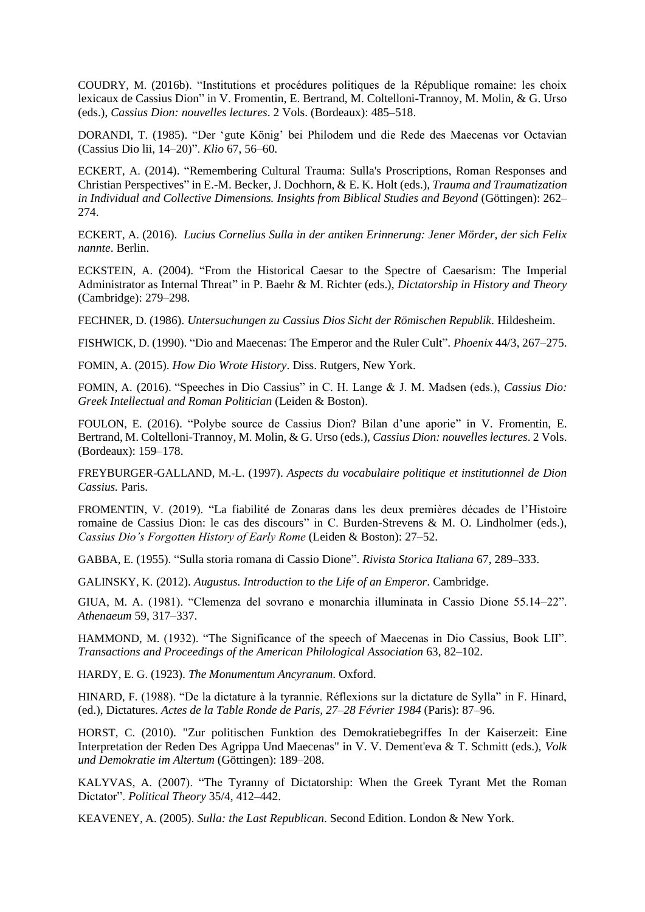COUDRY, M. (2016b). "Institutions et procédures politiques de la République romaine: les choix lexicaux de Cassius Dion" in V. Fromentin, E. Bertrand, M. Coltelloni-Trannoy, M. Molin, & G. Urso (eds.), *Cassius Dion: nouvelles lectures*. 2 Vols. (Bordeaux): 485–518.

DORANDI, T. (1985). "Der 'gute König' bei Philodem und die Rede des Maecenas vor Octavian (Cassius Dio lii, 14–20)". *Klio* 67, 56–60.

ECKERT, A. (2014). "Remembering Cultural Trauma: Sulla's Proscriptions, Roman Responses and Christian Perspectives" in E.-M. Becker, J. Dochhorn, & E. K. Holt (eds.), *Trauma and Traumatization in Individual and Collective Dimensions. Insights from Biblical Studies and Beyond* (Göttingen): 262– 274.

ECKERT, A. (2016). *Lucius Cornelius Sulla in der antiken Erinnerung: Jener Mörder, der sich Felix nannte*. Berlin.

ECKSTEIN, A. (2004). "From the Historical Caesar to the Spectre of Caesarism: The Imperial Administrator as Internal Threat" in P. Baehr & M. Richter (eds.), *Dictatorship in History and Theory* (Cambridge): 279–298.

FECHNER, D. (1986). *Untersuchungen zu Cassius Dios Sicht der Römischen Republik.* Hildesheim.

FISHWICK, D. (1990). "Dio and Maecenas: The Emperor and the Ruler Cult". *Phoenix* 44/3, 267–275.

FOMIN, A. (2015). *How Dio Wrote History*. Diss. Rutgers, New York.

FOMIN, A. (2016). "Speeches in Dio Cassius" in C. H. Lange & J. M. Madsen (eds.), *Cassius Dio: Greek Intellectual and Roman Politician* (Leiden & Boston).

FOULON, E. (2016). "Polybe source de Cassius Dion? Bilan d'une aporie" in V. Fromentin, E. Bertrand, M. Coltelloni-Trannoy, M. Molin, & G. Urso (eds.), *Cassius Dion: nouvelles lectures*. 2 Vols. (Bordeaux): 159–178.

FREYBURGER-GALLAND, M.-L. (1997). *Aspects du vocabulaire politique et institutionnel de Dion Cassius.* Paris.

FROMENTIN, V. (2019). "La fiabilité de Zonaras dans les deux premières décades de l'Histoire romaine de Cassius Dion: le cas des discours" in C. Burden-Strevens & M. O. Lindholmer (eds.), *Cassius Dio's Forgotten History of Early Rome* (Leiden & Boston): 27–52.

GABBA, E. (1955). "Sulla storia romana di Cassio Dione". *Rivista Storica Italiana* 67, 289–333.

GALINSKY, K. (2012). *Augustus. Introduction to the Life of an Emperor*. Cambridge.

GIUA, M. A. (1981). "Clemenza del sovrano e monarchia illuminata in Cassio Dione 55.14–22". *Athenaeum* 59, 317–337.

HAMMOND, M. (1932). "The Significance of the speech of Maecenas in Dio Cassius, Book LII". *Transactions and Proceedings of the American Philological Association* 63, 82–102.

HARDY, E. G. (1923). *The Monumentum Ancyranum*. Oxford.

HINARD, F. (1988). "De la dictature à la tyrannie. Réflexions sur la dictature de Sylla" in F. Hinard, (ed.), Dictatures. *Actes de la Table Ronde de Paris, 27–28 Février 1984* (Paris): 87–96.

HORST, C. (2010). "Zur politischen Funktion des Demokratiebegriffes In der Kaiserzeit: Eine Interpretation der Reden Des Agrippa Und Maecenas" in V. V. Dement'eva & T. Schmitt (eds.), *Volk und Demokratie im Altertum* (Göttingen): 189–208.

KALYVAS, A. (2007). "The Tyranny of Dictatorship: When the Greek Tyrant Met the Roman Dictator". *Political Theory* 35/4, 412–442.

KEAVENEY, A. (2005). *Sulla: the Last Republican*. Second Edition. London & New York.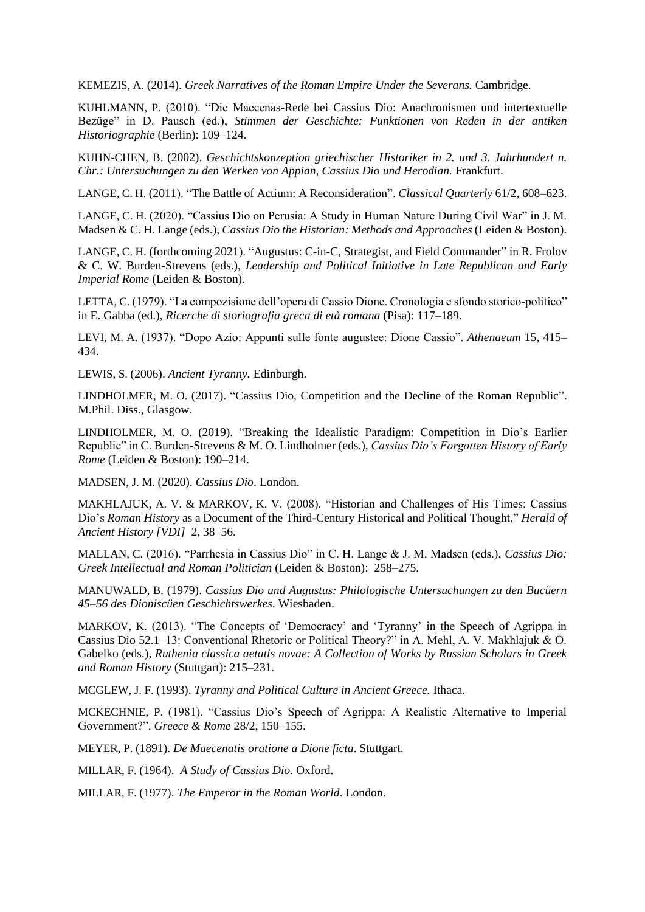KEMEZIS, A. (2014). *Greek Narratives of the Roman Empire Under the Severans.* Cambridge.

KUHLMANN, P. (2010). "Die Maecenas-Rede bei Cassius Dio: Anachronismen und intertextuelle Bezüge" in D. Pausch (ed.), *Stimmen der Geschichte: Funktionen von Reden in der antiken Historiographie* (Berlin): 109–124.

KUHN-CHEN, B. (2002). *Geschichtskonzeption griechischer Historiker in 2. und 3. Jahrhundert n. Chr.: Untersuchungen zu den Werken von Appian, Cassius Dio und Herodian.* Frankfurt.

LANGE, C. H. (2011). "The Battle of Actium: A Reconsideration". *Classical Quarterly* 61/2, 608–623.

LANGE, C. H. (2020). "Cassius Dio on Perusia: A Study in Human Nature During Civil War" in J. M. Madsen & C. H. Lange (eds.), *Cassius Dio the Historian: Methods and Approaches* (Leiden & Boston).

LANGE, C. H. (forthcoming 2021). "Augustus: C-in-C, Strategist, and Field Commander" in R. Frolov & C. W. Burden-Strevens (eds.), *Leadership and Political Initiative in Late Republican and Early Imperial Rome* (Leiden & Boston).

LETTA, C. (1979). "La compozisione dell'opera di Cassio Dione. Cronologia e sfondo storico-politico" in E. Gabba (ed.), *Ricerche di storiografia greca di età romana* (Pisa): 117–189.

LEVI, M. A. (1937). "Dopo Azio: Appunti sulle fonte augustee: Dione Cassio". *Athenaeum* 15, 415– 434.

LEWIS, S. (2006). *Ancient Tyranny.* Edinburgh.

LINDHOLMER, M. O. (2017). "Cassius Dio, Competition and the Decline of the Roman Republic". M.Phil. Diss., Glasgow.

LINDHOLMER, M. O. (2019). "Breaking the Idealistic Paradigm: Competition in Dio's Earlier Republic" in C. Burden-Strevens & M. O. Lindholmer (eds.), *Cassius Dio's Forgotten History of Early Rome* (Leiden & Boston): 190–214.

MADSEN, J. M. (2020). *Cassius Dio*. London.

MAKHLAJUK, A. V. & MARKOV, K. V. (2008). "Historian and Challenges of His Times: Cassius Dio's *Roman History* as a Document of the Third-Century Historical and Political Thought," *Herald of Ancient History [VDI]* 2, 38–56.

MALLAN, C. (2016). "Parrhesia in Cassius Dio" in C. H. Lange & J. M. Madsen (eds.), *Cassius Dio: Greek Intellectual and Roman Politician* (Leiden & Boston): 258–275.

MANUWALD, B. (1979). *Cassius Dio und Augustus: Philologische Untersuchungen zu den Bucüern 45–56 des Dioniscüen Geschichtswerkes*. Wiesbaden.

MARKOV, K. (2013). "The Concepts of 'Democracy' and 'Tyranny' in the Speech of Agrippa in Cassius Dio 52.1–13: Conventional Rhetoric or Political Theory?" in A. Mehl, A. V. Makhlajuk & O. Gabelko (eds.), *Ruthenia classica aetatis novae: A Collection of Works by Russian Scholars in Greek and Roman History* (Stuttgart): 215–231.

MCGLEW, J. F. (1993). *Tyranny and Political Culture in Ancient Greece.* Ithaca.

MCKECHNIE, P. (1981). "Cassius Dio's Speech of Agrippa: A Realistic Alternative to Imperial Government?". *Greece & Rome* 28/2, 150–155.

MEYER, P. (1891). *De Maecenatis oratione a Dione ficta*. Stuttgart.

MILLAR, F. (1964). *A Study of Cassius Dio.* Oxford.

MILLAR, F. (1977). *The Emperor in the Roman World*. London.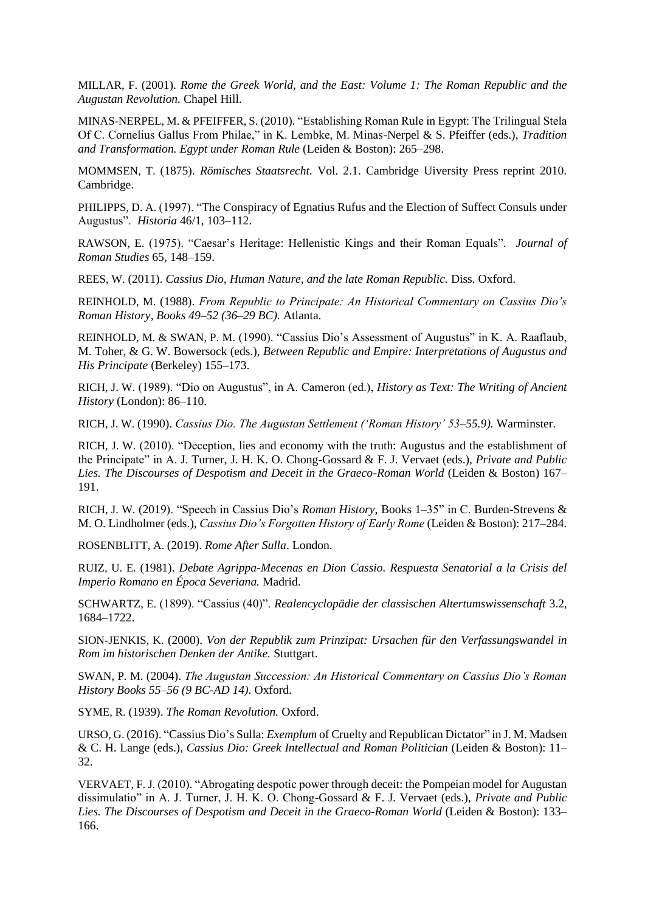MILLAR, F. (2001). *Rome the Greek World, and the East: Volume 1: The Roman Republic and the Augustan Revolution.* Chapel Hill.

MINAS-NERPEL, M. & PFEIFFER, S. (2010). "Establishing Roman Rule in Egypt: The Trilingual Stela Of C. Cornelius Gallus From Philae," in K. Lembke, M. Minas-Nerpel & S. Pfeiffer (eds.), *Tradition and Transformation. Egypt under Roman Rule* (Leiden & Boston): 265–298.

MOMMSEN, T. (1875). *Römisches Staatsrecht.* Vol. 2.1. Cambridge Uiversity Press reprint 2010. Cambridge.

PHILIPPS, D. A. (1997). "The Conspiracy of Egnatius Rufus and the Election of Suffect Consuls under Augustus". *Historia* 46/1, 103–112.

RAWSON, E. (1975). "Caesar's Heritage: Hellenistic Kings and their Roman Equals". *Journal of Roman Studies* 65, 148–159.

REES, W. (2011). *Cassius Dio, Human Nature, and the late Roman Republic.* Diss. Oxford.

REINHOLD, M. (1988). *From Republic to Principate: An Historical Commentary on Cassius Dio's Roman History, Books 49–52 (36–29 BC).* Atlanta.

REINHOLD, M. & SWAN, P. M. (1990). "Cassius Dio's Assessment of Augustus" in K. A. Raaflaub, M. Toher, & G. W. Bowersock (eds.), *Between Republic and Empire: Interpretations of Augustus and His Principate* (Berkeley) 155–173.

RICH, J. W. (1989). "Dio on Augustus", in A. Cameron (ed.), *History as Text: The Writing of Ancient History* (London): 86–110.

RICH, J. W. (1990). *Cassius Dio. The Augustan Settlement ('Roman History' 53–55.9).* Warminster.

RICH, J. W. (2010). "Deception, lies and economy with the truth: Augustus and the establishment of the Principate" in A. J. Turner, J. H. K. O. Chong-Gossard & F. J. Vervaet (eds.), *Private and Public Lies. The Discourses of Despotism and Deceit in the Graeco-Roman World* (Leiden & Boston) 167– 191.

RICH, J. W. (2019). "Speech in Cassius Dio's *Roman History*, Books 1–35" in C. Burden-Strevens & M. O. Lindholmer (eds.), *Cassius Dio's Forgotten History of Early Rome* (Leiden & Boston): 217–284.

ROSENBLITT, A. (2019). *Rome After Sulla*. London.

RUIZ, U. E. (1981). *Debate Agrippa-Mecenas en Dion Cassio. Respuesta Senatorial a la Crisis del Imperio Romano en Época Severiana.* Madrid.

SCHWARTZ, E. (1899). "Cassius (40)". *Realencyclopädie der classischen Altertumswissenschaft* 3.2, 1684–1722.

SION-JENKIS, K. (2000). *Von der Republik zum Prinzipat: Ursachen für den Verfassungswandel in Rom im historischen Denken der Antike.* Stuttgart.

SWAN, P. M. (2004). *The Augustan Succession: An Historical Commentary on Cassius Dio's Roman History Books 55–56 (9 BC-AD 14).* Oxford.

SYME, R. (1939). *The Roman Revolution.* Oxford.

URSO, G. (2016). "Cassius Dio's Sulla: *Exemplum* of Cruelty and Republican Dictator" in J. M. Madsen & C. H. Lange (eds.), *Cassius Dio: Greek Intellectual and Roman Politician* (Leiden & Boston): 11– 32.

VERVAET, F. J. (2010). "Abrogating despotic power through deceit: the Pompeian model for Augustan dissimulatio" in A. J. Turner, J. H. K. O. Chong-Gossard & F. J. Vervaet (eds.), *Private and Public Lies. The Discourses of Despotism and Deceit in the Graeco-Roman World* (Leiden & Boston): 133– 166.